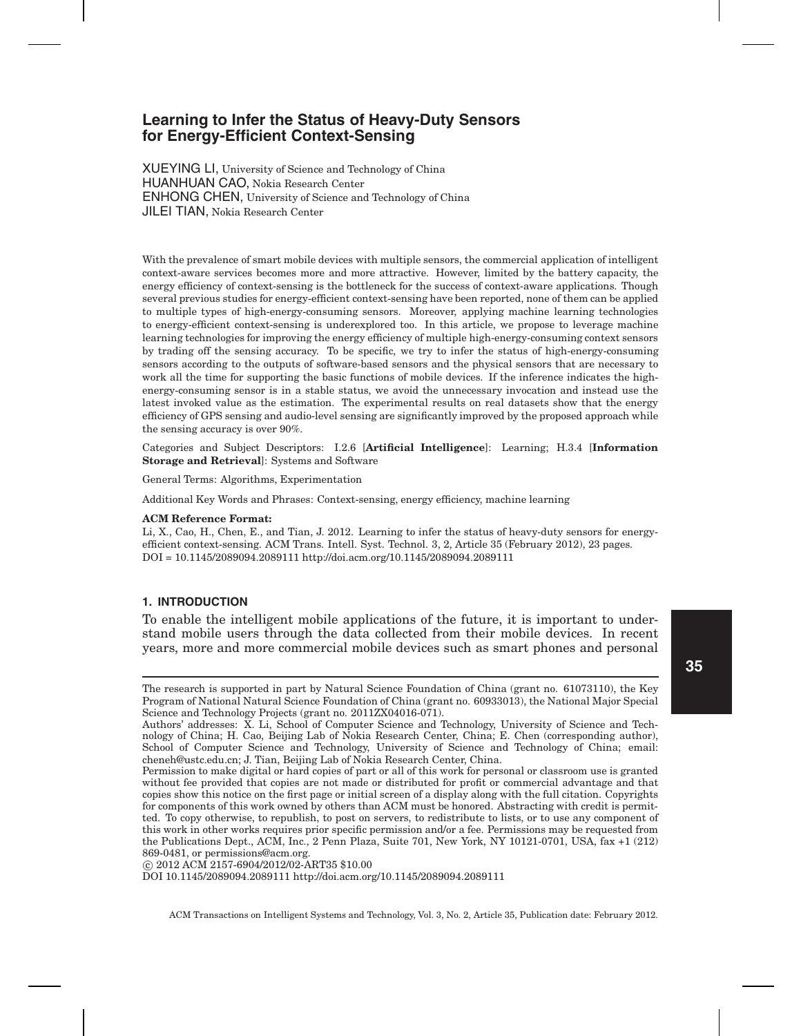XUEYING LI, University of Science and Technology of China HUANHUAN CAO, Nokia Research Center ENHONG CHEN, University of Science and Technology of China JILEI TIAN, Nokia Research Center

With the prevalence of smart mobile devices with multiple sensors, the commercial application of intelligent context-aware services becomes more and more attractive. However, limited by the battery capacity, the energy efficiency of context-sensing is the bottleneck for the success of context-aware applications. Though several previous studies for energy-efficient context-sensing have been reported, none of them can be applied to multiple types of high-energy-consuming sensors. Moreover, applying machine learning technologies to energy-efficient context-sensing is underexplored too. In this article, we propose to leverage machine learning technologies for improving the energy efficiency of multiple high-energy-consuming context sensors by trading off the sensing accuracy. To be specific, we try to infer the status of high-energy-consuming sensors according to the outputs of software-based sensors and the physical sensors that are necessary to work all the time for supporting the basic functions of mobile devices. If the inference indicates the highenergy-consuming sensor is in a stable status, we avoid the unnecessary invocation and instead use the latest invoked value as the estimation. The experimental results on real datasets show that the energy efficiency of GPS sensing and audio-level sensing are significantly improved by the proposed approach while the sensing accuracy is over 90%.

Categories and Subject Descriptors: I.2.6 [**Artificial Intelligence**]: Learning; H.3.4 [**Information Storage and Retrieval**]: Systems and Software

General Terms: Algorithms, Experimentation

Additional Key Words and Phrases: Context-sensing, energy efficiency, machine learning

#### **ACM Reference Format:**

Li, X., Cao, H., Chen, E., and Tian, J. 2012. Learning to infer the status of heavy-duty sensors for energyefficient context-sensing. ACM Trans. Intell. Syst. Technol. 3, 2, Article 35 (February 2012), 23 pages. DOI = 10.1145/2089094.2089111 http://doi.acm.org/10.1145/2089094.2089111

# **1. INTRODUCTION**

To enable the intelligent mobile applications of the future, it is important to understand mobile users through the data collected from their mobile devices. In recent years, more and more commercial mobile devices such as smart phones and personal

-c 2012 ACM 2157-6904/2012/02-ART35 \$10.00

DOI 10.1145/2089094.2089111 http://doi.acm.org/10.1145/2089094.2089111

The research is supported in part by Natural Science Foundation of China (grant no. 61073110), the Key Program of National Natural Science Foundation of China (grant no. 60933013), the National Major Special Science and Technology Projects (grant no. 2011ZX04016-071).

Authors' addresses: X. Li, School of Computer Science and Technology, University of Science and Technology of China; H. Cao, Beijing Lab of Nokia Research Center, China; E. Chen (corresponding author), School of Computer Science and Technology, University of Science and Technology of China; email: cheneh@ustc.edu.cn; J. Tian, Beijing Lab of Nokia Research Center, China.

Permission to make digital or hard copies of part or all of this work for personal or classroom use is granted without fee provided that copies are not made or distributed for profit or commercial advantage and that copies show this notice on the first page or initial screen of a display along with the full citation. Copyrights for components of this work owned by others than ACM must be honored. Abstracting with credit is permitted. To copy otherwise, to republish, to post on servers, to redistribute to lists, or to use any component of this work in other works requires prior specific permission and/or a fee. Permissions may be requested from the Publications Dept., ACM, Inc., 2 Penn Plaza, Suite 701, New York, NY 10121-0701, USA, fax +1 (212) 869-0481, or permissions@acm.org.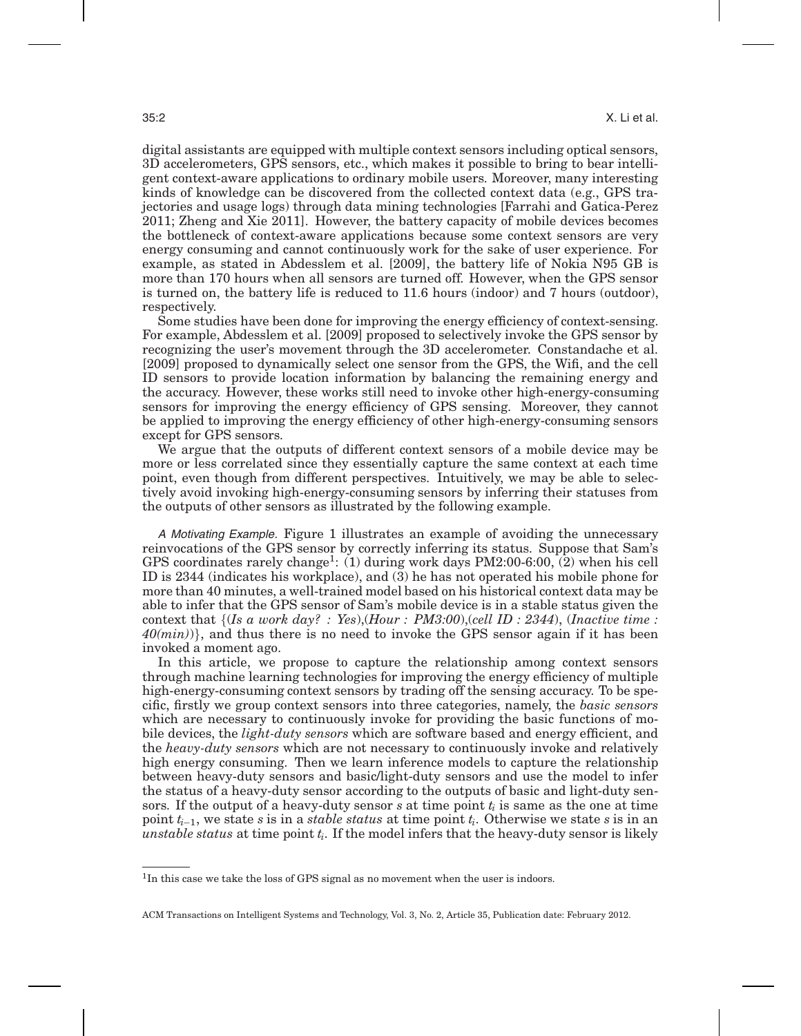digital assistants are equipped with multiple context sensors including optical sensors, 3D accelerometers, GPS sensors, etc., which makes it possible to bring to bear intelligent context-aware applications to ordinary mobile users. Moreover, many interesting kinds of knowledge can be discovered from the collected context data (e.g., GPS trajectories and usage logs) through data mining technologies [Farrahi and Gatica-Perez 2011; Zheng and Xie 2011]. However, the battery capacity of mobile devices becomes the bottleneck of context-aware applications because some context sensors are very energy consuming and cannot continuously work for the sake of user experience. For example, as stated in Abdesslem et al. [2009], the battery life of Nokia N95 GB is more than 170 hours when all sensors are turned off. However, when the GPS sensor is turned on, the battery life is reduced to 11.6 hours (indoor) and 7 hours (outdoor), respectively.

Some studies have been done for improving the energy efficiency of context-sensing. For example, Abdesslem et al. [2009] proposed to selectively invoke the GPS sensor by recognizing the user's movement through the 3D accelerometer. Constandache et al. [2009] proposed to dynamically select one sensor from the GPS, the Wifi, and the cell ID sensors to provide location information by balancing the remaining energy and the accuracy. However, these works still need to invoke other high-energy-consuming sensors for improving the energy efficiency of GPS sensing. Moreover, they cannot be applied to improving the energy efficiency of other high-energy-consuming sensors except for GPS sensors.

We argue that the outputs of different context sensors of a mobile device may be more or less correlated since they essentially capture the same context at each time point, even though from different perspectives. Intuitively, we may be able to selectively avoid invoking high-energy-consuming sensors by inferring their statuses from the outputs of other sensors as illustrated by the following example.

A Motivating Example. Figure 1 illustrates an example of avoiding the unnecessary reinvocations of the GPS sensor by correctly inferring its status. Suppose that Sam's GPS coordinates rarely change<sup>1</sup>: (1) during work days  $PM2:00-6:00$ , (2) when his cell ID is 2344 (indicates his workplace), and (3) he has not operated his mobile phone for more than 40 minutes, a well-trained model based on his historical context data may be able to infer that the GPS sensor of Sam's mobile device is in a stable status given the context that *{*(*Is a work day? : Yes*),(*Hour : PM3:00*),(*cell ID : 2344*), (*Inactive time : 40(min)*)*}*, and thus there is no need to invoke the GPS sensor again if it has been invoked a moment ago.

In this article, we propose to capture the relationship among context sensors through machine learning technologies for improving the energy efficiency of multiple high-energy-consuming context sensors by trading off the sensing accuracy. To be specific, firstly we group context sensors into three categories, namely, the *basic sensors* which are necessary to continuously invoke for providing the basic functions of mobile devices, the *light-duty sensors* which are software based and energy efficient, and the *heavy-duty sensors* which are not necessary to continuously invoke and relatively high energy consuming. Then we learn inference models to capture the relationship between heavy-duty sensors and basic/light-duty sensors and use the model to infer the status of a heavy-duty sensor according to the outputs of basic and light-duty sensors. If the output of a heavy-duty sensor  $s$  at time point  $t_i$  is same as the one at time point *ti*−1, we state *s* is in a *stable status* at time point *ti*. Otherwise we state *s* is in an *unstable status* at time point *ti*. If the model infers that the heavy-duty sensor is likely

<sup>&</sup>lt;sup>1</sup>In this case we take the loss of GPS signal as no movement when the user is indoors.

ACM Transactions on Intelligent Systems and Technology, Vol. 3, No. 2, Article 35, Publication date: February 2012.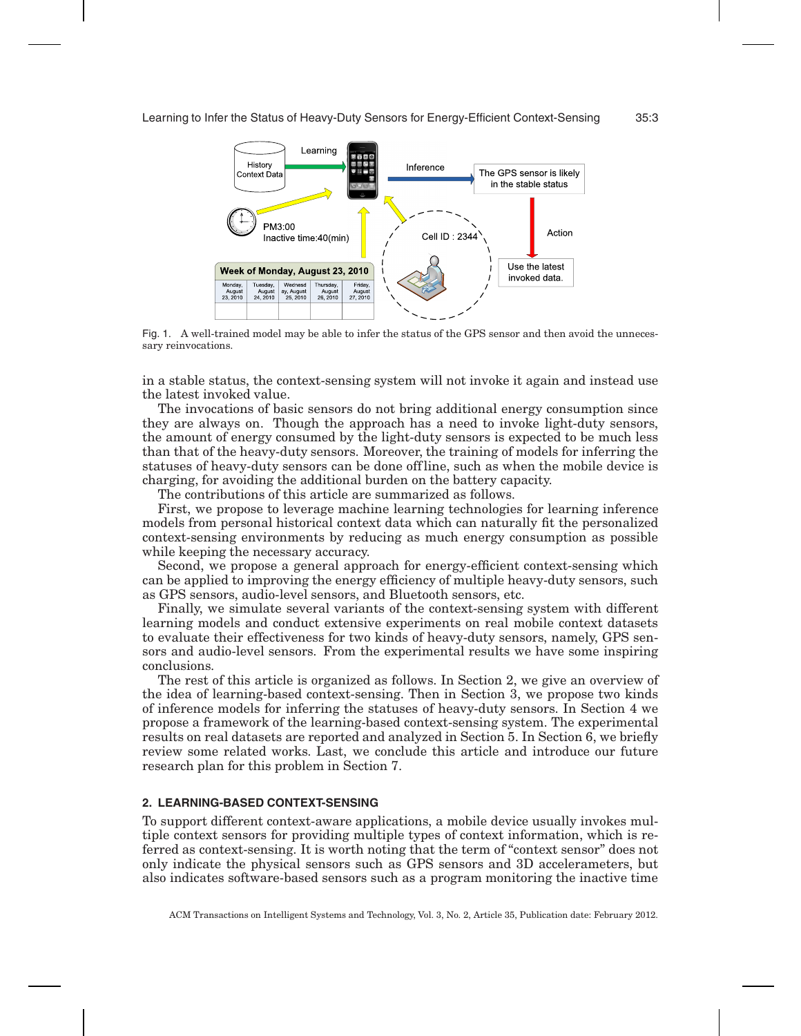

Fig. 1. A well-trained model may be able to infer the status of the GPS sensor and then avoid the unnecessary reinvocations.

in a stable status, the context-sensing system will not invoke it again and instead use the latest invoked value.

The invocations of basic sensors do not bring additional energy consumption since they are always on. Though the approach has a need to invoke light-duty sensors, the amount of energy consumed by the light-duty sensors is expected to be much less than that of the heavy-duty sensors. Moreover, the training of models for inferring the statuses of heavy-duty sensors can be done off line, such as when the mobile device is charging, for avoiding the additional burden on the battery capacity.

The contributions of this article are summarized as follows.

First, we propose to leverage machine learning technologies for learning inference models from personal historical context data which can naturally fit the personalized context-sensing environments by reducing as much energy consumption as possible while keeping the necessary accuracy.

Second, we propose a general approach for energy-efficient context-sensing which can be applied to improving the energy efficiency of multiple heavy-duty sensors, such as GPS sensors, audio-level sensors, and Bluetooth sensors, etc.

Finally, we simulate several variants of the context-sensing system with different learning models and conduct extensive experiments on real mobile context datasets to evaluate their effectiveness for two kinds of heavy-duty sensors, namely, GPS sensors and audio-level sensors. From the experimental results we have some inspiring conclusions.

The rest of this article is organized as follows. In Section 2, we give an overview of the idea of learning-based context-sensing. Then in Section 3, we propose two kinds of inference models for inferring the statuses of heavy-duty sensors. In Section 4 we propose a framework of the learning-based context-sensing system. The experimental results on real datasets are reported and analyzed in Section 5. In Section 6, we briefly review some related works. Last, we conclude this article and introduce our future research plan for this problem in Section 7.

#### **2. LEARNING-BASED CONTEXT-SENSING**

To support different context-aware applications, a mobile device usually invokes multiple context sensors for providing multiple types of context information, which is referred as context-sensing. It is worth noting that the term of "context sensor" does not only indicate the physical sensors such as GPS sensors and 3D accelerameters, but also indicates software-based sensors such as a program monitoring the inactive time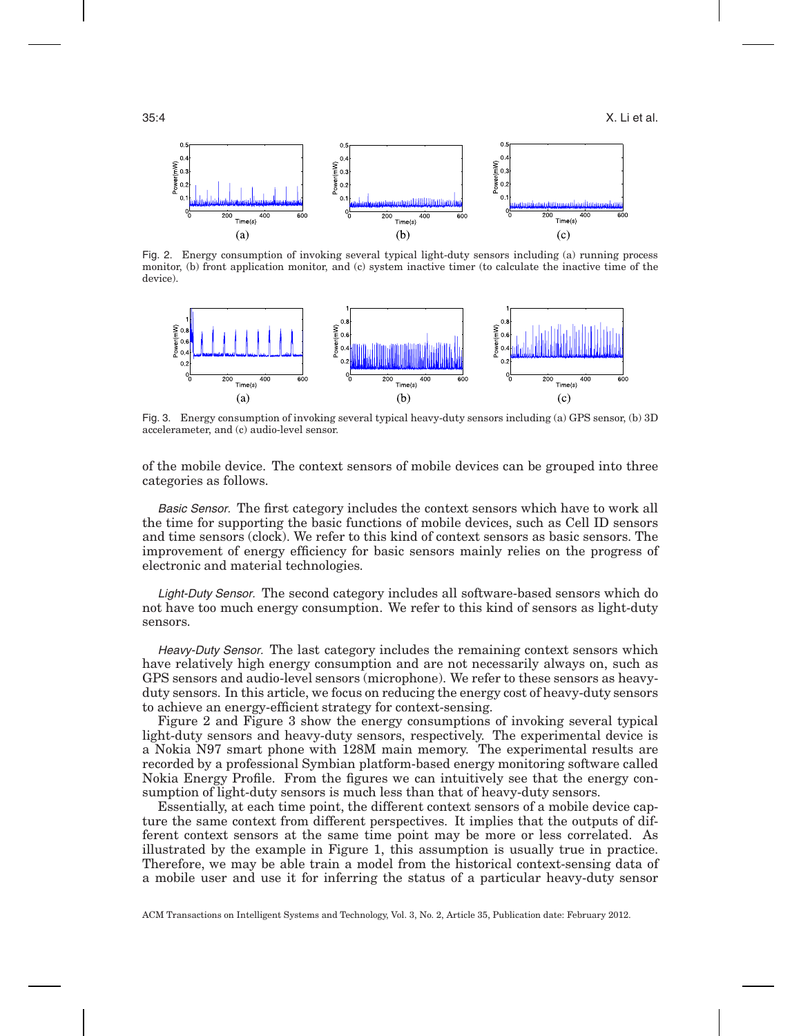

Fig. 2. Energy consumption of invoking several typical light-duty sensors including (a) running process monitor, (b) front application monitor, and (c) system inactive timer (to calculate the inactive time of the device).



Fig. 3. Energy consumption of invoking several typical heavy-duty sensors including (a) GPS sensor, (b) 3D accelerameter, and (c) audio-level sensor.

of the mobile device. The context sensors of mobile devices can be grouped into three categories as follows.

Basic Sensor. The first category includes the context sensors which have to work all the time for supporting the basic functions of mobile devices, such as Cell ID sensors and time sensors (clock). We refer to this kind of context sensors as basic sensors. The improvement of energy efficiency for basic sensors mainly relies on the progress of electronic and material technologies.

Light-Duty Sensor. The second category includes all software-based sensors which do not have too much energy consumption. We refer to this kind of sensors as light-duty sensors.

Heavy-Duty Sensor. The last category includes the remaining context sensors which have relatively high energy consumption and are not necessarily always on, such as GPS sensors and audio-level sensors (microphone). We refer to these sensors as heavyduty sensors. In this article, we focus on reducing the energy cost of heavy-duty sensors to achieve an energy-efficient strategy for context-sensing.

Figure 2 and Figure 3 show the energy consumptions of invoking several typical light-duty sensors and heavy-duty sensors, respectively. The experimental device is a Nokia N97 smart phone with 128M main memory. The experimental results are recorded by a professional Symbian platform-based energy monitoring software called Nokia Energy Profile. From the figures we can intuitively see that the energy consumption of light-duty sensors is much less than that of heavy-duty sensors.

Essentially, at each time point, the different context sensors of a mobile device capture the same context from different perspectives. It implies that the outputs of different context sensors at the same time point may be more or less correlated. As illustrated by the example in Figure 1, this assumption is usually true in practice. Therefore, we may be able train a model from the historical context-sensing data of a mobile user and use it for inferring the status of a particular heavy-duty sensor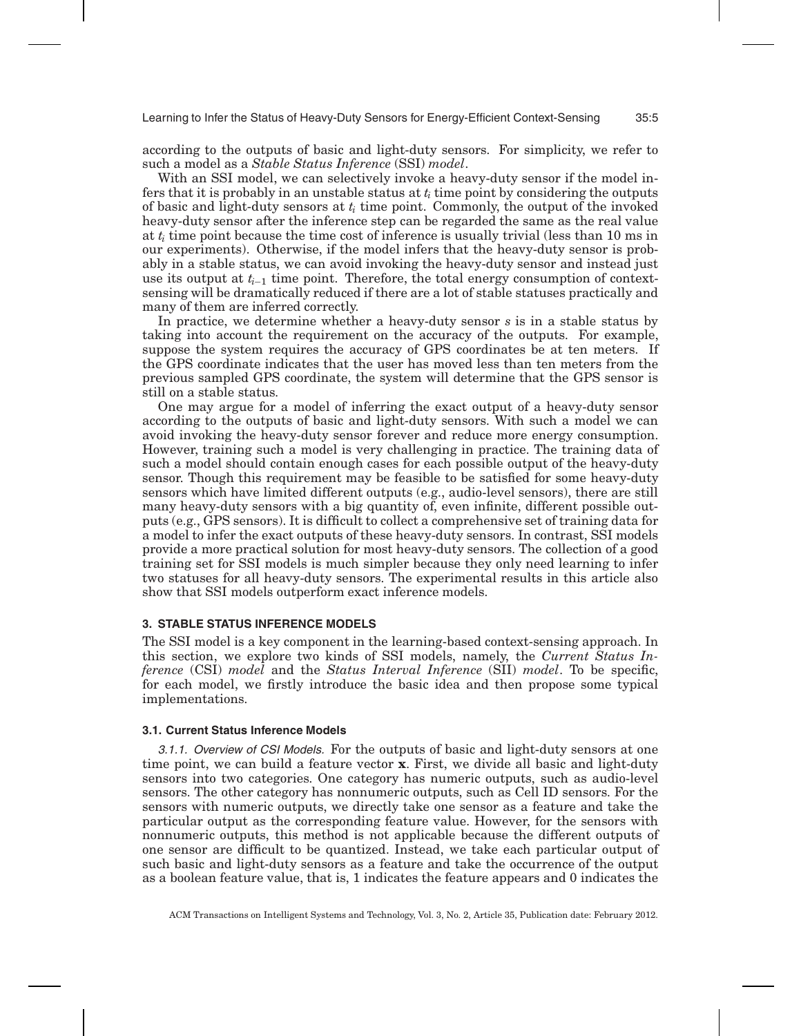according to the outputs of basic and light-duty sensors. For simplicity, we refer to such a model as a *Stable Status Inference* (SSI) *model*.

With an SSI model, we can selectively invoke a heavy-duty sensor if the model infers that it is probably in an unstable status at *ti* time point by considering the outputs of basic and light-duty sensors at *ti* time point. Commonly, the output of the invoked heavy-duty sensor after the inference step can be regarded the same as the real value at *ti* time point because the time cost of inference is usually trivial (less than 10 ms in our experiments). Otherwise, if the model infers that the heavy-duty sensor is probably in a stable status, we can avoid invoking the heavy-duty sensor and instead just use its output at *ti*−<sup>1</sup> time point. Therefore, the total energy consumption of contextsensing will be dramatically reduced if there are a lot of stable statuses practically and many of them are inferred correctly.

In practice, we determine whether a heavy-duty sensor *s* is in a stable status by taking into account the requirement on the accuracy of the outputs. For example, suppose the system requires the accuracy of GPS coordinates be at ten meters. If the GPS coordinate indicates that the user has moved less than ten meters from the previous sampled GPS coordinate, the system will determine that the GPS sensor is still on a stable status.

One may argue for a model of inferring the exact output of a heavy-duty sensor according to the outputs of basic and light-duty sensors. With such a model we can avoid invoking the heavy-duty sensor forever and reduce more energy consumption. However, training such a model is very challenging in practice. The training data of such a model should contain enough cases for each possible output of the heavy-duty sensor. Though this requirement may be feasible to be satisfied for some heavy-duty sensors which have limited different outputs (e.g., audio-level sensors), there are still many heavy-duty sensors with a big quantity of, even infinite, different possible outputs (e.g., GPS sensors). It is difficult to collect a comprehensive set of training data for a model to infer the exact outputs of these heavy-duty sensors. In contrast, SSI models provide a more practical solution for most heavy-duty sensors. The collection of a good training set for SSI models is much simpler because they only need learning to infer two statuses for all heavy-duty sensors. The experimental results in this article also show that SSI models outperform exact inference models.

# **3. STABLE STATUS INFERENCE MODELS**

The SSI model is a key component in the learning-based context-sensing approach. In this section, we explore two kinds of SSI models, namely, the *Current Status Inference* (CSI) *model* and the *Status Interval Inference* (SII) *model*. To be specific, for each model, we firstly introduce the basic idea and then propose some typical implementations.

#### **3.1. Current Status Inference Models**

3.1.1. Overview of CSI Models. For the outputs of basic and light-duty sensors at one time point, we can build a feature vector **x**. First, we divide all basic and light-duty sensors into two categories. One category has numeric outputs, such as audio-level sensors. The other category has nonnumeric outputs, such as Cell ID sensors. For the sensors with numeric outputs, we directly take one sensor as a feature and take the particular output as the corresponding feature value. However, for the sensors with nonnumeric outputs, this method is not applicable because the different outputs of one sensor are difficult to be quantized. Instead, we take each particular output of such basic and light-duty sensors as a feature and take the occurrence of the output as a boolean feature value, that is, 1 indicates the feature appears and 0 indicates the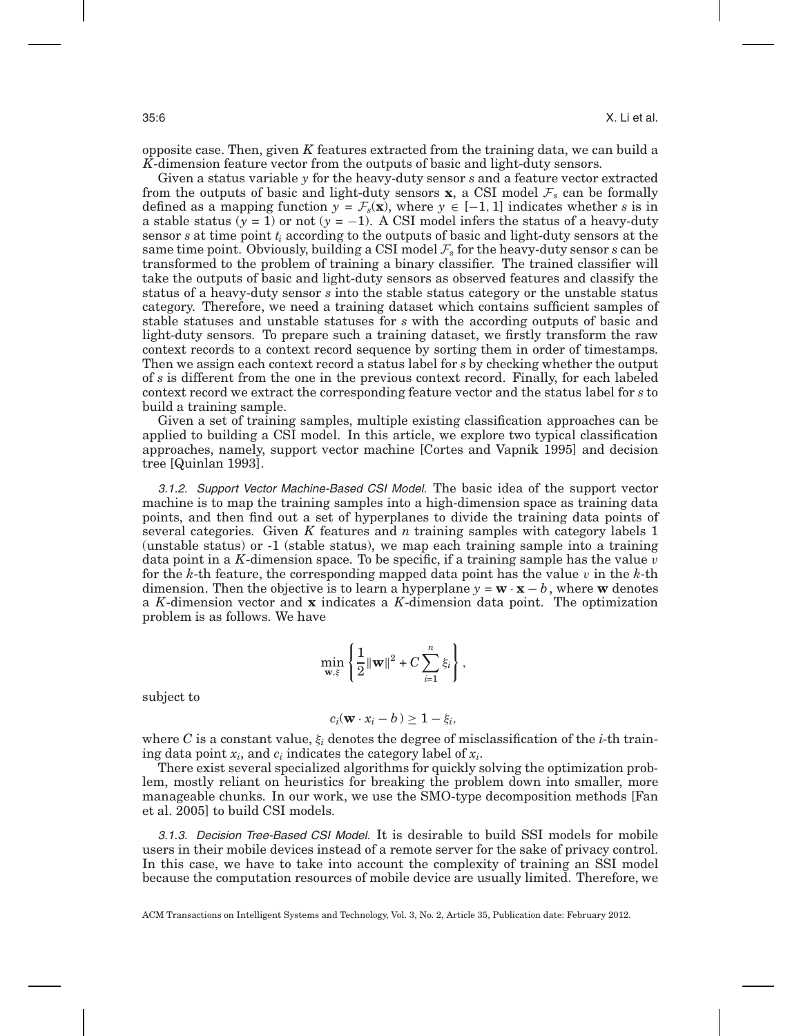opposite case. Then, given *K* features extracted from the training data, we can build a *K*-dimension feature vector from the outputs of basic and light-duty sensors.

Given a status variable *y* for the heavy-duty sensor *s* and a feature vector extracted from the outputs of basic and light-duty sensors **x**, a CSI model  $\mathcal{F}_s$  can be formally defined as a mapping function  $y = \mathcal{F}_s(\mathbf{x})$ , where  $y \in [-1, 1]$  indicates whether *s* is in a stable status ( $y = 1$ ) or not ( $y = -1$ ). A CSI model infers the status of a heavy-duty sensor *s* at time point *ti* according to the outputs of basic and light-duty sensors at the same time point. Obviously, building a CSI model *F<sup>s</sup>* for the heavy-duty sensor *s* can be transformed to the problem of training a binary classifier. The trained classifier will take the outputs of basic and light-duty sensors as observed features and classify the status of a heavy-duty sensor *s* into the stable status category or the unstable status category. Therefore, we need a training dataset which contains sufficient samples of stable statuses and unstable statuses for *s* with the according outputs of basic and light-duty sensors. To prepare such a training dataset, we firstly transform the raw context records to a context record sequence by sorting them in order of timestamps. Then we assign each context record a status label for *s* by checking whether the output of *s* is different from the one in the previous context record. Finally, for each labeled context record we extract the corresponding feature vector and the status label for *s* to build a training sample.

Given a set of training samples, multiple existing classification approaches can be applied to building a CSI model. In this article, we explore two typical classification approaches, namely, support vector machine [Cortes and Vapnik 1995] and decision tree [Quinlan 1993].

3.1.2. Support Vector Machine-Based CSI Model. The basic idea of the support vector machine is to map the training samples into a high-dimension space as training data points, and then find out a set of hyperplanes to divide the training data points of several categories. Given *K* features and *n* training samples with category labels 1 (unstable status) or -1 (stable status), we map each training sample into a training data point in a *K*-dimension space. To be specific, if a training sample has the value v for the *k*-th feature, the corresponding mapped data point has the value v in the *k*-th dimension. Then the objective is to learn a hyperplane  $y = \mathbf{w} \cdot \mathbf{x} - b$ , where  $\mathbf{w}$  denotes a *K*-dimension vector and **x** indicates a *K*-dimension data point. The optimization problem is as follows. We have

$$
\min_{\mathbf{w}, \xi} \left\{ \frac{1}{2} ||\mathbf{w}||^2 + C \sum_{i=1}^n \xi_i \right\},\
$$

subject to

$$
c_i(\mathbf{w} \cdot x_i - b) \geq 1 - \xi_i,
$$

where *C* is a constant value,  $\xi_i$  denotes the degree of misclassification of the *i*-th training data point *xi*, and *ci* indicates the category label of *xi*.

There exist several specialized algorithms for quickly solving the optimization problem, mostly reliant on heuristics for breaking the problem down into smaller, more manageable chunks. In our work, we use the SMO-type decomposition methods [Fan et al. 2005] to build CSI models.

3.1.3. Decision Tree-Based CSI Model. It is desirable to build SSI models for mobile users in their mobile devices instead of a remote server for the sake of privacy control. In this case, we have to take into account the complexity of training an SSI model because the computation resources of mobile device are usually limited. Therefore, we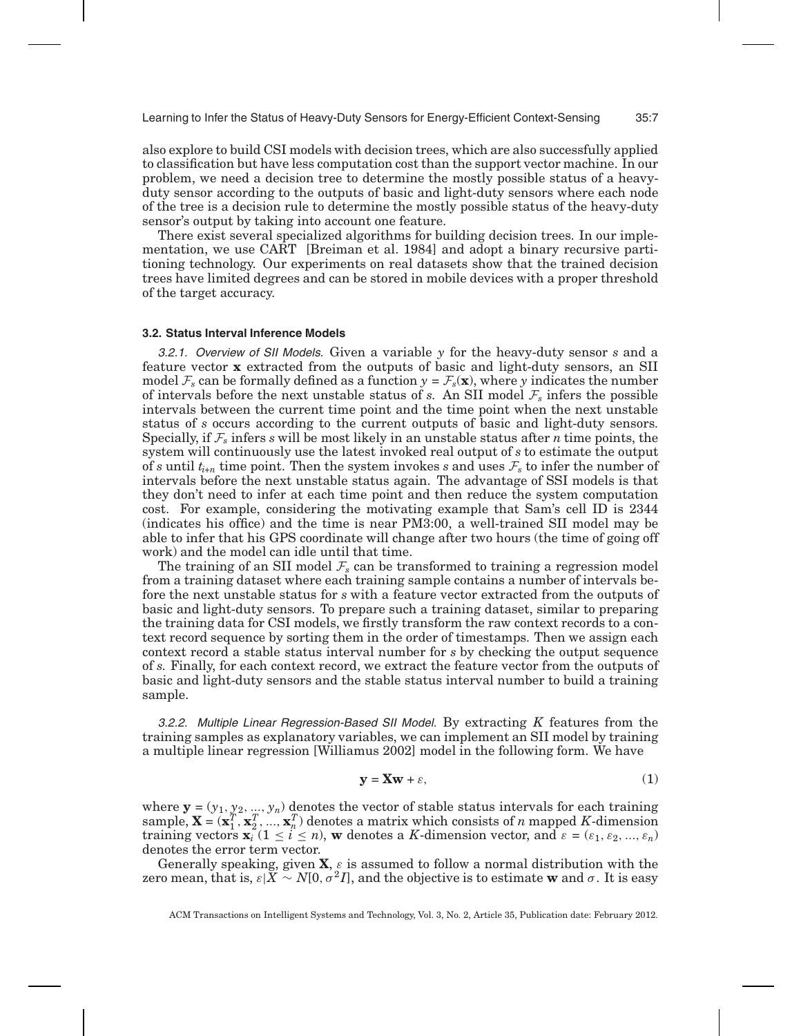also explore to build CSI models with decision trees, which are also successfully applied to classification but have less computation cost than the support vector machine. In our problem, we need a decision tree to determine the mostly possible status of a heavyduty sensor according to the outputs of basic and light-duty sensors where each node of the tree is a decision rule to determine the mostly possible status of the heavy-duty sensor's output by taking into account one feature.

There exist several specialized algorithms for building decision trees. In our implementation, we use CART [Breiman et al. 1984] and adopt a binary recursive partitioning technology. Our experiments on real datasets show that the trained decision trees have limited degrees and can be stored in mobile devices with a proper threshold of the target accuracy.

#### **3.2. Status Interval Inference Models**

3.2.1. Overview of SII Models. Given a variable *y* for the heavy-duty sensor *s* and a feature vector **x** extracted from the outputs of basic and light-duty sensors, an SII model  $\mathcal{F}_s$  can be formally defined as a function  $y = \mathcal{F}_s(\mathbf{x})$ , where *y* indicates the number of intervals before the next unstable status of *s*. An SII model  $\mathcal{F}_s$  infers the possible intervals between the current time point and the time point when the next unstable status of *s* occurs according to the current outputs of basic and light-duty sensors. Specially, if  $\mathcal{F}_s$  infers *s* will be most likely in an unstable status after *n* time points, the system will continuously use the latest invoked real output of *s* to estimate the output of *s* until  $t_{i+n}$  time point. Then the system invokes *s* and uses  $\mathcal{F}_s$  to infer the number of intervals before the next unstable status again. The advantage of SSI models is that they don't need to infer at each time point and then reduce the system computation cost. For example, considering the motivating example that Sam's cell ID is 2344 (indicates his office) and the time is near PM3:00, a well-trained SII model may be able to infer that his GPS coordinate will change after two hours (the time of going off work) and the model can idle until that time.

The training of an SII model  $F_s$  can be transformed to training a regression model from a training dataset where each training sample contains a number of intervals before the next unstable status for *s* with a feature vector extracted from the outputs of basic and light-duty sensors. To prepare such a training dataset, similar to preparing the training data for CSI models, we firstly transform the raw context records to a context record sequence by sorting them in the order of timestamps. Then we assign each context record a stable status interval number for *s* by checking the output sequence of *s*. Finally, for each context record, we extract the feature vector from the outputs of basic and light-duty sensors and the stable status interval number to build a training sample.

3.2.2. Multiple Linear Regression-Based SII Model. By extracting *K* features from the training samples as explanatory variables, we can implement an SII model by training a multiple linear regression [Williamus 2002] model in the following form. We have

$$
y = Xw + \varepsilon,\tag{1}
$$

where  $\mathbf{y} = (y_1, y_2, ..., y_n)$  denotes the vector of stable status intervals for each training sample,  $\mathbf{X} = (\mathbf{x}_1^T, \mathbf{x}_2^T, ..., \mathbf{x}_n^T)$  denotes a matrix which consists of *n* mapped *K*-dimension training vectors  $\mathbf{x}_i$  ( $1 \le i \le n$ ), **w** denotes a *K*-dimension vector, and  $\varepsilon = (\varepsilon_1, \varepsilon_2, ..., \varepsilon_n)$ denotes the error term vector.

Generally speaking, given **X**, ε is assumed to follow a normal distribution with the zero mean, that is,  $\varepsilon|X \sim N[0, \sigma^2 I]$ , and the objective is to estimate **w** and  $\sigma$ . It is easy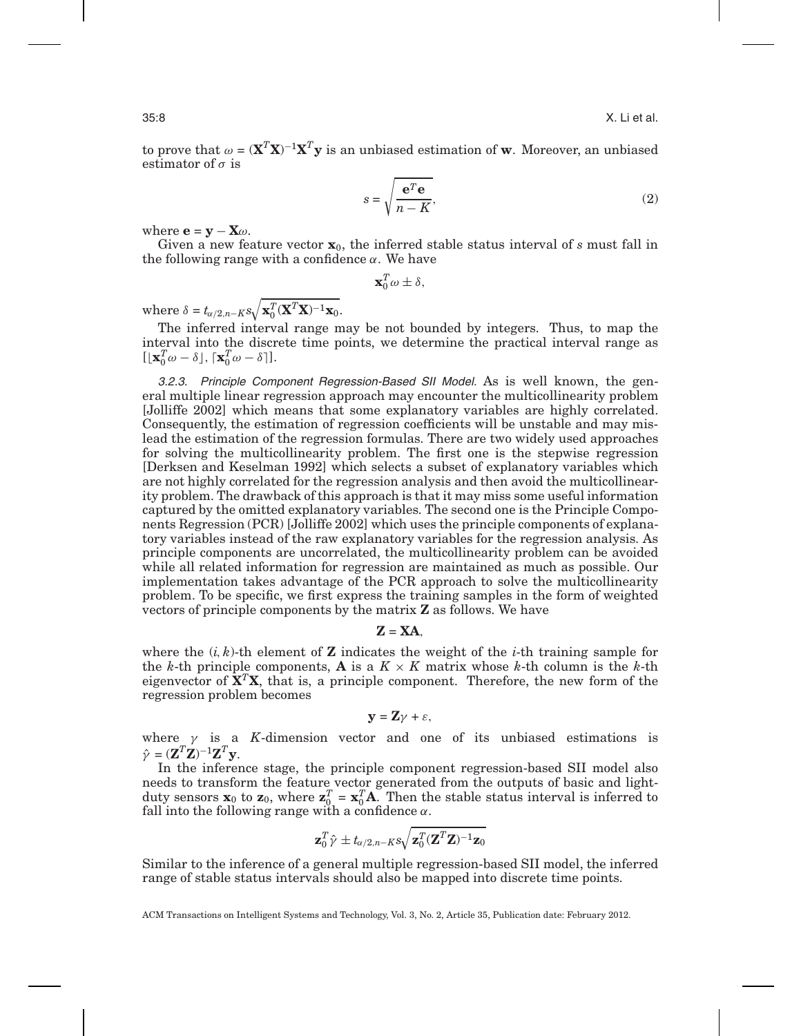to prove that  $\omega = (\mathbf{X}^T\mathbf{X})^{-1}\mathbf{X}^T\mathbf{y}$  is an unbiased estimation of  $\mathbf{w}$ . Moreover, an unbiased estimator of  $\sigma$  is

$$
s = \sqrt{\frac{\mathbf{e}^T \mathbf{e}}{n - K}},\tag{2}
$$

where  $\mathbf{e} = \mathbf{y} - \mathbf{X}\omega$ .

Given a new feature vector **x**0, the inferred stable status interval of *s* must fall in the following range with a confidence  $\alpha$ . We have

 $\mathbf{x}_0^T\omega \pm \delta$ ,

where  $\delta = t_{\alpha/2,n-K} s \sqrt{\mathbf{x}_0^T (\mathbf{X}^T \mathbf{X})^{-1} \mathbf{x}_0}.$ 

The inferred interval range may be not bounded by integers. Thus, to map the interval into the discrete time points, we determine the practical interval range as  $[\mathbf{x}_0^T \omega - \delta], \, [\mathbf{x}_0^T \omega - \delta]].$ 

3.2.3. Principle Component Regression-Based SII Model. As is well known, the general multiple linear regression approach may encounter the multicollinearity problem [Jolliffe 2002] which means that some explanatory variables are highly correlated. Consequently, the estimation of regression coefficients will be unstable and may mislead the estimation of the regression formulas. There are two widely used approaches for solving the multicollinearity problem. The first one is the stepwise regression [Derksen and Keselman 1992] which selects a subset of explanatory variables which are not highly correlated for the regression analysis and then avoid the multicollinearity problem. The drawback of this approach is that it may miss some useful information captured by the omitted explanatory variables. The second one is the Principle Components Regression (PCR) [Jolliffe 2002] which uses the principle components of explanatory variables instead of the raw explanatory variables for the regression analysis. As principle components are uncorrelated, the multicollinearity problem can be avoided while all related information for regression are maintained as much as possible. Our implementation takes advantage of the PCR approach to solve the multicollinearity problem. To be specific, we first express the training samples in the form of weighted vectors of principle components by the matrix **Z** as follows. We have

 $Z = XA$ 

where the  $(i, k)$ -th element of **Z** indicates the weight of the *i*-th training sample for the *k*-th principle components, **A** is a  $K \times K$  matrix whose *k*-th column is the *k*-th eigenvector of  $X^T X$ , that is, a principle component. Therefore, the new form of the regression problem becomes

$$
\mathbf{y} = \mathbf{Z}\gamma + \varepsilon,
$$

where  $\gamma$  is a *K*-dimension vector and one of its unbiased estimations is  $\hat{\gamma} = (\mathbf{Z}^T \mathbf{Z})^{-1} \mathbf{Z}^T \mathbf{y}.$ 

In the inference stage, the principle component regression-based SII model also needs to transform the feature vector generated from the outputs of basic and lightduty sensors  $\mathbf{x}_0$  to  $\mathbf{z}_0$ , where  $\mathbf{z}_0^T = \mathbf{x}_0^T \mathbf{A}$ . Then the stable status interval is inferred to fall into the following range with a confidence  $\alpha$ .

$$
\mathbf{z}_0^T\hat{\mathbf{y}} \pm t_{\alpha/2,n-K} s \sqrt{\mathbf{z}_0^T (\mathbf{Z}^T \mathbf{Z})^{-1} \mathbf{z}_0}
$$

Similar to the inference of a general multiple regression-based SII model, the inferred range of stable status intervals should also be mapped into discrete time points.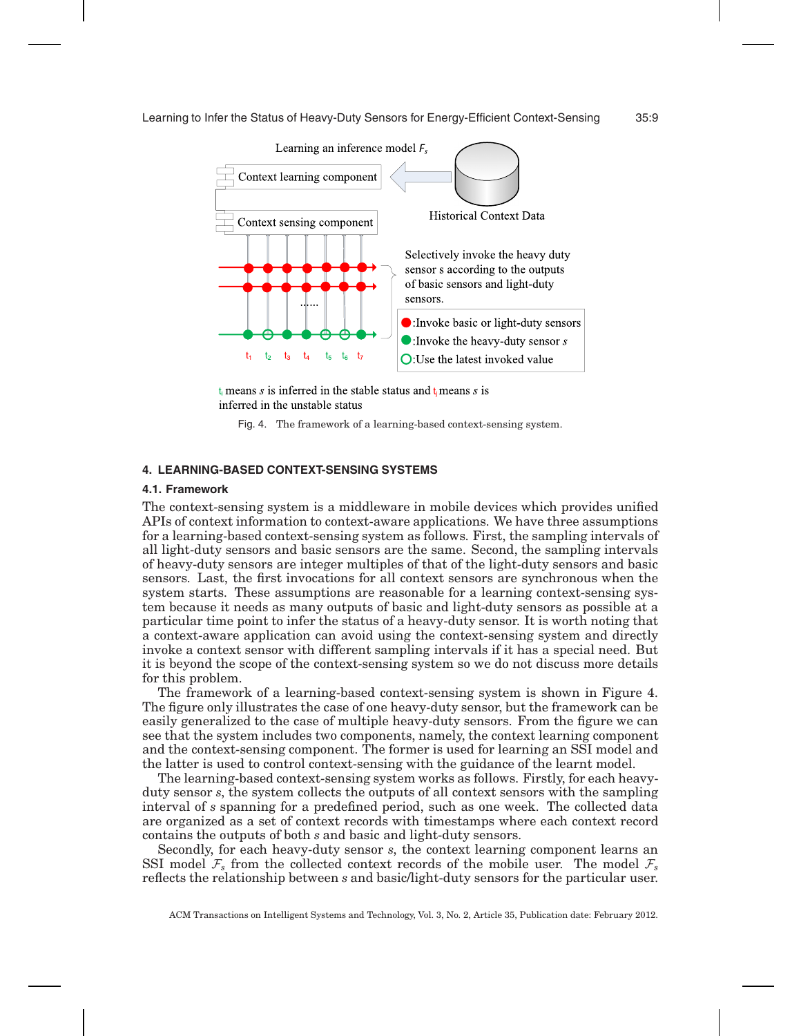

 $t_i$  means s is inferred in the stable status and  $t_i$  means s is inferred in the unstable status

Fig. 4. The framework of a learning-based context-sensing system.

# **4. LEARNING-BASED CONTEXT-SENSING SYSTEMS**

#### **4.1. Framework**

The context-sensing system is a middleware in mobile devices which provides unified APIs of context information to context-aware applications. We have three assumptions for a learning-based context-sensing system as follows. First, the sampling intervals of all light-duty sensors and basic sensors are the same. Second, the sampling intervals of heavy-duty sensors are integer multiples of that of the light-duty sensors and basic sensors. Last, the first invocations for all context sensors are synchronous when the system starts. These assumptions are reasonable for a learning context-sensing system because it needs as many outputs of basic and light-duty sensors as possible at a particular time point to infer the status of a heavy-duty sensor. It is worth noting that a context-aware application can avoid using the context-sensing system and directly invoke a context sensor with different sampling intervals if it has a special need. But it is beyond the scope of the context-sensing system so we do not discuss more details for this problem.

The framework of a learning-based context-sensing system is shown in Figure 4. The figure only illustrates the case of one heavy-duty sensor, but the framework can be easily generalized to the case of multiple heavy-duty sensors. From the figure we can see that the system includes two components, namely, the context learning component and the context-sensing component. The former is used for learning an SSI model and the latter is used to control context-sensing with the guidance of the learnt model.

The learning-based context-sensing system works as follows. Firstly, for each heavyduty sensor *s*, the system collects the outputs of all context sensors with the sampling interval of *s* spanning for a predefined period, such as one week. The collected data are organized as a set of context records with timestamps where each context record contains the outputs of both *s* and basic and light-duty sensors.

Secondly, for each heavy-duty sensor *s*, the context learning component learns an SSI model  $\mathcal{F}_s$  from the collected context records of the mobile user. The model  $\mathcal{F}_s$ reflects the relationship between *s* and basic/light-duty sensors for the particular user.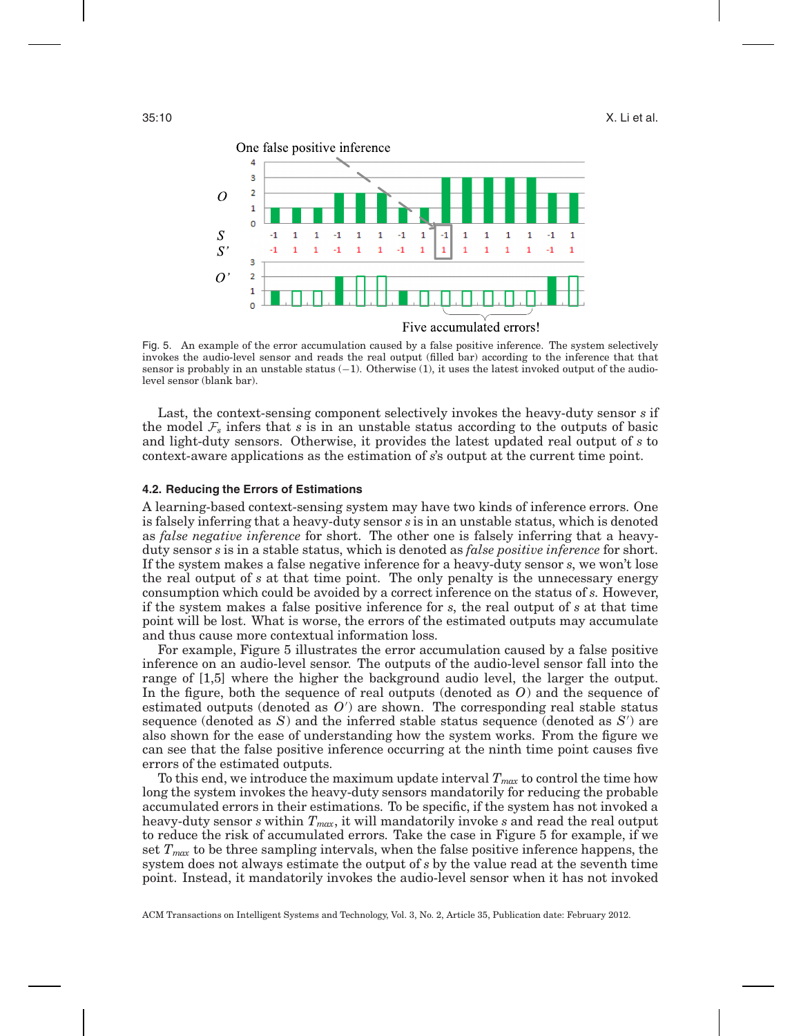

Fig. 5. An example of the error accumulation caused by a false positive inference. The system selectively invokes the audio-level sensor and reads the real output (filled bar) according to the inference that that sensor is probably in an unstable status (−1). Otherwise (1), it uses the latest invoked output of the audiolevel sensor (blank bar).

Last, the context-sensing component selectively invokes the heavy-duty sensor *s* if the model  $\mathcal{F}_s$  infers that *s* is in an unstable status according to the outputs of basic and light-duty sensors. Otherwise, it provides the latest updated real output of *s* to context-aware applications as the estimation of *s*'s output at the current time point.

#### **4.2. Reducing the Errors of Estimations**

A learning-based context-sensing system may have two kinds of inference errors. One is falsely inferring that a heavy-duty sensor *s* is in an unstable status, which is denoted as *false negative inference* for short. The other one is falsely inferring that a heavyduty sensor *s* is in a stable status, which is denoted as *false positive inference* for short. If the system makes a false negative inference for a heavy-duty sensor *s*, we won't lose the real output of *s* at that time point. The only penalty is the unnecessary energy consumption which could be avoided by a correct inference on the status of *s*. However, if the system makes a false positive inference for *s*, the real output of *s* at that time point will be lost. What is worse, the errors of the estimated outputs may accumulate and thus cause more contextual information loss.

For example, Figure 5 illustrates the error accumulation caused by a false positive inference on an audio-level sensor. The outputs of the audio-level sensor fall into the range of [1,5] where the higher the background audio level, the larger the output. In the figure, both the sequence of real outputs (denoted as *O*) and the sequence of estimated outputs (denoted as  $O'$ ) are shown. The corresponding real stable status sequence (denoted as *S*) and the inferred stable status sequence (denoted as *S* ) are also shown for the ease of understanding how the system works. From the figure we can see that the false positive inference occurring at the ninth time point causes five errors of the estimated outputs.

To this end, we introduce the maximum update interval *Tmax* to control the time how long the system invokes the heavy-duty sensors mandatorily for reducing the probable accumulated errors in their estimations. To be specific, if the system has not invoked a heavy-duty sensor *s* within *Tmax*, it will mandatorily invoke *s* and read the real output to reduce the risk of accumulated errors. Take the case in Figure 5 for example, if we set *Tmax* to be three sampling intervals, when the false positive inference happens, the system does not always estimate the output of *s* by the value read at the seventh time point. Instead, it mandatorily invokes the audio-level sensor when it has not invoked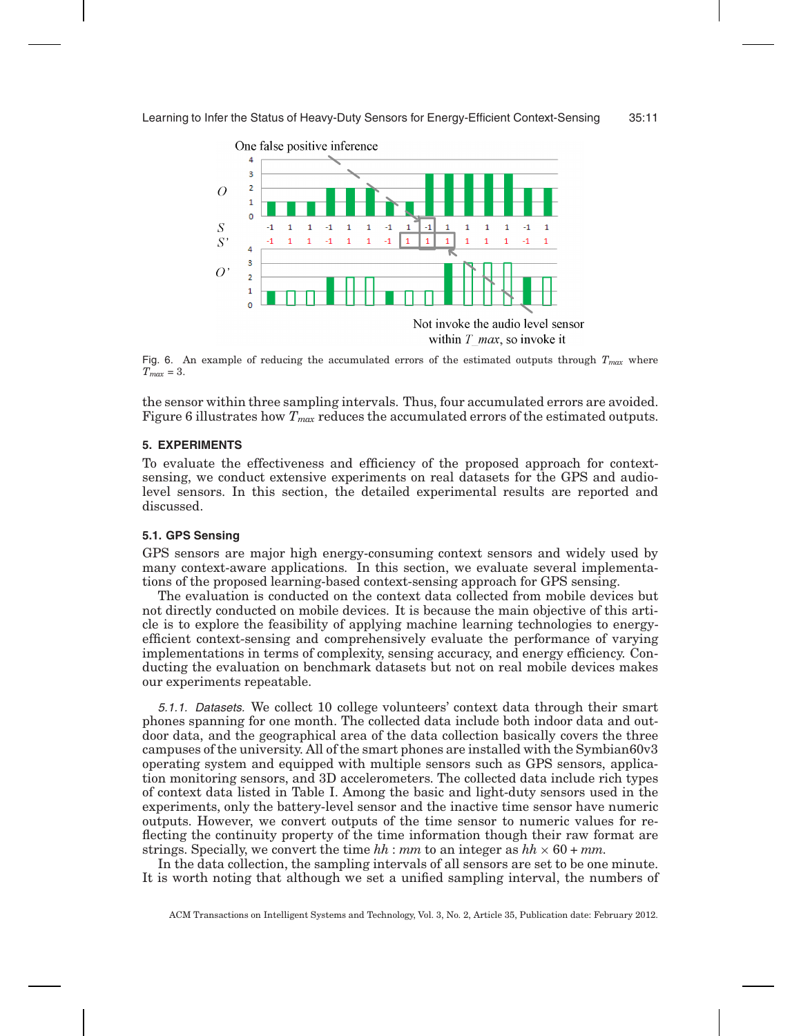

Fig. 6. An example of reducing the accumulated errors of the estimated outputs through *Tmax* where  $T_{max} = 3$ .

the sensor within three sampling intervals. Thus, four accumulated errors are avoided. Figure 6 illustrates how  $T_{max}$  reduces the accumulated errors of the estimated outputs.

# **5. EXPERIMENTS**

To evaluate the effectiveness and efficiency of the proposed approach for contextsensing, we conduct extensive experiments on real datasets for the GPS and audiolevel sensors. In this section, the detailed experimental results are reported and discussed.

# **5.1. GPS Sensing**

GPS sensors are major high energy-consuming context sensors and widely used by many context-aware applications. In this section, we evaluate several implementations of the proposed learning-based context-sensing approach for GPS sensing.

The evaluation is conducted on the context data collected from mobile devices but not directly conducted on mobile devices. It is because the main objective of this article is to explore the feasibility of applying machine learning technologies to energyefficient context-sensing and comprehensively evaluate the performance of varying implementations in terms of complexity, sensing accuracy, and energy efficiency. Conducting the evaluation on benchmark datasets but not on real mobile devices makes our experiments repeatable.

5.1.1. Datasets. We collect 10 college volunteers' context data through their smart phones spanning for one month. The collected data include both indoor data and outdoor data, and the geographical area of the data collection basically covers the three campuses of the university. All of the smart phones are installed with the Symbian60v3 operating system and equipped with multiple sensors such as GPS sensors, application monitoring sensors, and 3D accelerometers. The collected data include rich types of context data listed in Table I. Among the basic and light-duty sensors used in the experiments, only the battery-level sensor and the inactive time sensor have numeric outputs. However, we convert outputs of the time sensor to numeric values for reflecting the continuity property of the time information though their raw format are strings. Specially, we convert the time  $hh$  :  $mm$  to an integer as  $hh \times 60 + mm$ .

In the data collection, the sampling intervals of all sensors are set to be one minute. It is worth noting that although we set a unified sampling interval, the numbers of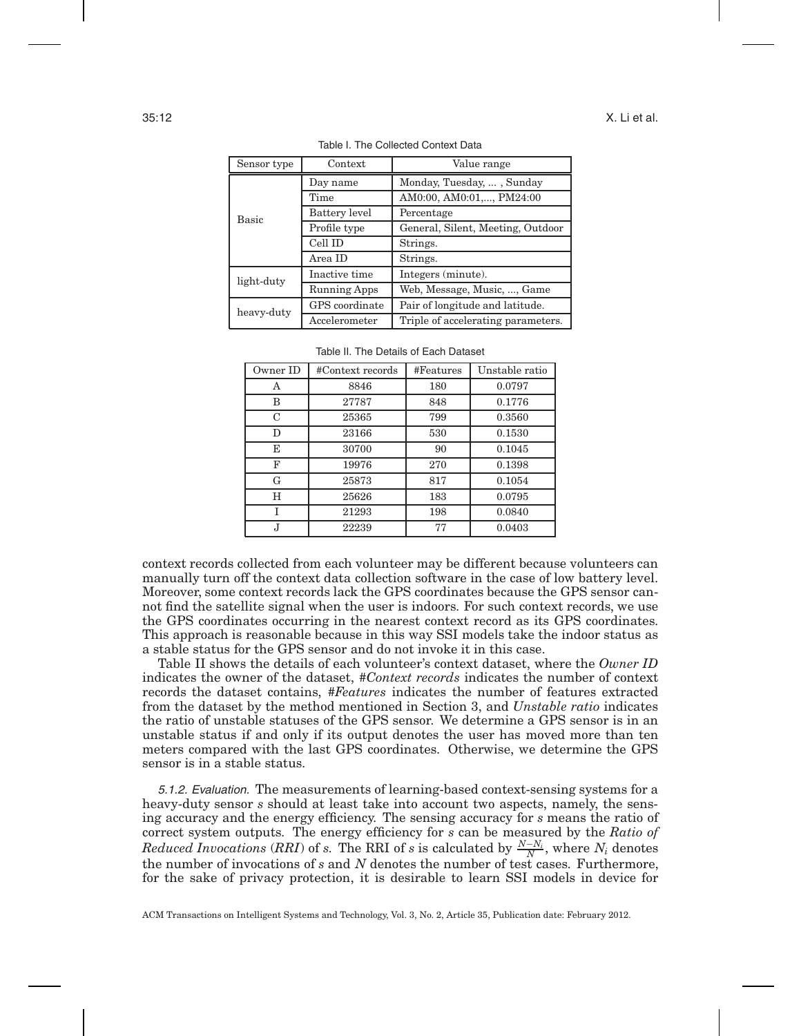| Sensor type | Context             | Value range                        |  |  |
|-------------|---------------------|------------------------------------|--|--|
|             | Day name            | Monday, Tuesday, , Sunday          |  |  |
| Basic       | Time                | AM0:00, AM0:01,, PM24:00           |  |  |
|             | Battery level       | Percentage                         |  |  |
|             | Profile type        | General, Silent, Meeting, Outdoor  |  |  |
|             | Cell ID             | Strings.                           |  |  |
|             | Area ID             | Strings.                           |  |  |
| light-duty  | Inactive time       | Integers (minute).                 |  |  |
|             | <b>Running Apps</b> | Web, Message, Music, , Game        |  |  |
| heavy-duty  | GPS coordinate      | Pair of longitude and latitude.    |  |  |
|             | Accelerometer       | Triple of accelerating parameters. |  |  |

Table I. The Collected Context Data

| Owner ID | #Context records | #Features | Unstable ratio |
|----------|------------------|-----------|----------------|
| А        | 8846             | 180       | 0.0797         |
| В        | 27787            | 848       | 0.1776         |
| C        | 25365            | 799       | 0.3560         |
| D        | 23166            | 530       | 0.1530         |
| E        | 30700            | 90        | 0.1045         |
| F        | 19976            | 270       | 0.1398         |
| G        | 25873            | 817       | 0.1054         |
| H        | 25626            | 183       | 0.0795         |
| T        | 21293            | 198       | 0.0840         |
| J,       | 22239            | 77        | 0.0403         |

|  |  |  |  |  | Table II. The Details of Each Dataset |
|--|--|--|--|--|---------------------------------------|
|--|--|--|--|--|---------------------------------------|

context records collected from each volunteer may be different because volunteers can manually turn off the context data collection software in the case of low battery level. Moreover, some context records lack the GPS coordinates because the GPS sensor cannot find the satellite signal when the user is indoors. For such context records, we use the GPS coordinates occurring in the nearest context record as its GPS coordinates. This approach is reasonable because in this way SSI models take the indoor status as a stable status for the GPS sensor and do not invoke it in this case.

Table II shows the details of each volunteer's context dataset, where the *Owner ID* indicates the owner of the dataset, *#Context records* indicates the number of context records the dataset contains, *#Features* indicates the number of features extracted from the dataset by the method mentioned in Section 3, and *Unstable ratio* indicates the ratio of unstable statuses of the GPS sensor. We determine a GPS sensor is in an unstable status if and only if its output denotes the user has moved more than ten meters compared with the last GPS coordinates. Otherwise, we determine the GPS sensor is in a stable status.

5.1.2. Evaluation. The measurements of learning-based context-sensing systems for a heavy-duty sensor *s* should at least take into account two aspects, namely, the sensing accuracy and the energy efficiency. The sensing accuracy for *s* means the ratio of correct system outputs. The energy efficiency for *s* can be measured by the *Ratio of*  $Reduced~Invocations~ (RRI)$  of  $s$ . The RRI of  $s$  is calculated by  $\frac{N-N_i}{N}$ , where  $N_i$  denotes the number of invocations of *s* and *N* denotes the number of test cases. Furthermore, for the sake of privacy protection, it is desirable to learn SSI models in device for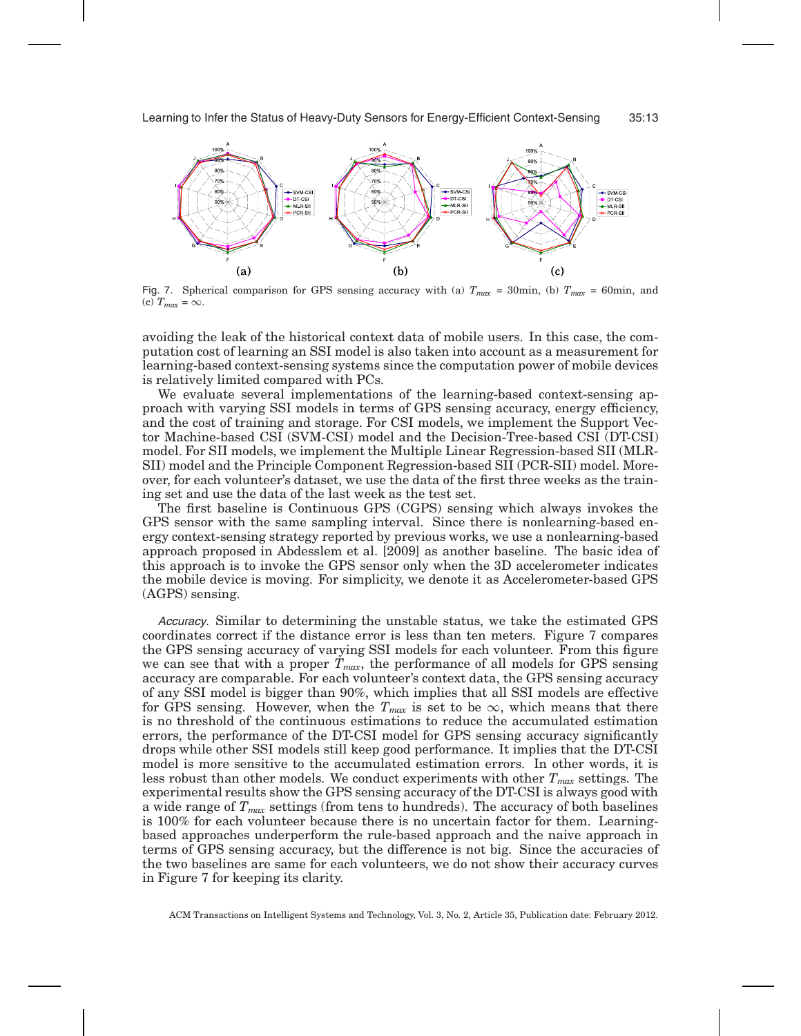

Fig. 7. Spherical comparison for GPS sensing accuracy with (a)  $T_{max} = 30$ min, (b)  $T_{max} = 60$ min, and (c)  $T_{max} = \infty$ .

avoiding the leak of the historical context data of mobile users. In this case, the computation cost of learning an SSI model is also taken into account as a measurement for learning-based context-sensing systems since the computation power of mobile devices is relatively limited compared with PCs.

We evaluate several implementations of the learning-based context-sensing approach with varying SSI models in terms of GPS sensing accuracy, energy efficiency, and the cost of training and storage. For CSI models, we implement the Support Vector Machine-based CSI (SVM-CSI) model and the Decision-Tree-based CSI (DT-CSI) model. For SII models, we implement the Multiple Linear Regression-based SII (MLR-SII) model and the Principle Component Regression-based SII (PCR-SII) model. Moreover, for each volunteer's dataset, we use the data of the first three weeks as the training set and use the data of the last week as the test set.

The first baseline is Continuous GPS (CGPS) sensing which always invokes the GPS sensor with the same sampling interval. Since there is nonlearning-based energy context-sensing strategy reported by previous works, we use a nonlearning-based approach proposed in Abdesslem et al. [2009] as another baseline. The basic idea of this approach is to invoke the GPS sensor only when the 3D accelerometer indicates the mobile device is moving. For simplicity, we denote it as Accelerometer-based GPS (AGPS) sensing.

Accuracy. Similar to determining the unstable status, we take the estimated GPS coordinates correct if the distance error is less than ten meters. Figure 7 compares the GPS sensing accuracy of varying SSI models for each volunteer. From this figure we can see that with a proper *Tmax*, the performance of all models for GPS sensing accuracy are comparable. For each volunteer's context data, the GPS sensing accuracy of any SSI model is bigger than 90%, which implies that all SSI models are effective for GPS sensing. However, when the  $T_{max}$  is set to be  $\infty$ , which means that there is no threshold of the continuous estimations to reduce the accumulated estimation errors, the performance of the DT-CSI model for GPS sensing accuracy significantly drops while other SSI models still keep good performance. It implies that the DT-CSI model is more sensitive to the accumulated estimation errors. In other words, it is less robust than other models. We conduct experiments with other *Tmax* settings. The experimental results show the GPS sensing accuracy of the DT-CSI is always good with a wide range of *Tmax* settings (from tens to hundreds). The accuracy of both baselines is 100% for each volunteer because there is no uncertain factor for them. Learningbased approaches underperform the rule-based approach and the naive approach in terms of GPS sensing accuracy, but the difference is not big. Since the accuracies of the two baselines are same for each volunteers, we do not show their accuracy curves in Figure 7 for keeping its clarity.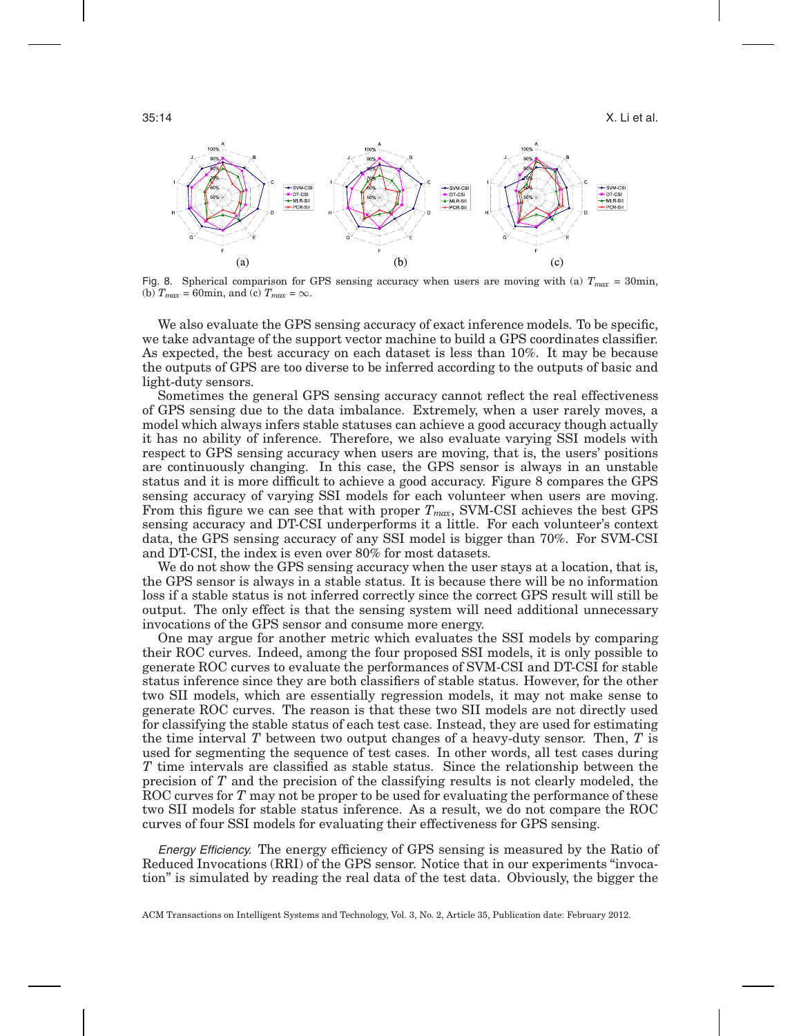$35:14$  X. Li et al.  $\,$ 



Fig. 8. Spherical comparison for GPS sensing accuracy when users are moving with (a) *Tmax* = 30min, (b)  $T_{max} = 60$ min, and (c)  $T_{max} = \infty$ .

We also evaluate the GPS sensing accuracy of exact inference models. To be specific, we take advantage of the support vector machine to build a GPS coordinates classifier. As expected, the best accuracy on each dataset is less than 10%. It may be because the outputs of GPS are too diverse to be inferred according to the outputs of basic and light-duty sensors.

Sometimes the general GPS sensing accuracy cannot reflect the real effectiveness of GPS sensing due to the data imbalance. Extremely, when a user rarely moves, a model which always infers stable statuses can achieve a good accuracy though actually it has no ability of inference. Therefore, we also evaluate varying SSI models with respect to GPS sensing accuracy when users are moving, that is, the users' positions are continuously changing. In this case, the GPS sensor is always in an unstable status and it is more difficult to achieve a good accuracy. Figure 8 compares the GPS sensing accuracy of varying SSI models for each volunteer when users are moving. From this figure we can see that with proper  $T_{max}$ , SVM-CSI achieves the best GPS sensing accuracy and DT-CSI underperforms it a little. For each volunteer's context data, the GPS sensing accuracy of any SSI model is bigger than 70%. For SVM-CSI and DT-CSI, the index is even over 80% for most datasets.

We do not show the GPS sensing accuracy when the user stays at a location, that is, the GPS sensor is always in a stable status. It is because there will be no information loss if a stable status is not inferred correctly since the correct GPS result will still be output. The only effect is that the sensing system will need additional unnecessary invocations of the GPS sensor and consume more energy.

One may argue for another metric which evaluates the SSI models by comparing their ROC curves. Indeed, among the four proposed SSI models, it is only possible to generate ROC curves to evaluate the performances of SVM-CSI and DT-CSI for stable status inference since they are both classifiers of stable status. However, for the other two SII models, which are essentially regression models, it may not make sense to generate ROC curves. The reason is that these two SII models are not directly used for classifying the stable status of each test case. Instead, they are used for estimating the time interval *T* between two output changes of a heavy-duty sensor. Then, *T* is used for segmenting the sequence of test cases. In other words, all test cases during *T* time intervals are classified as stable status. Since the relationship between the precision of *T* and the precision of the classifying results is not clearly modeled, the ROC curves for *T* may not be proper to be used for evaluating the performance of these two SII models for stable status inference. As a result, we do not compare the ROC curves of four SSI models for evaluating their effectiveness for GPS sensing.

Energy Efficiency. The energy efficiency of GPS sensing is measured by the Ratio of Reduced Invocations (RRI) of the GPS sensor. Notice that in our experiments "invocation" is simulated by reading the real data of the test data. Obviously, the bigger the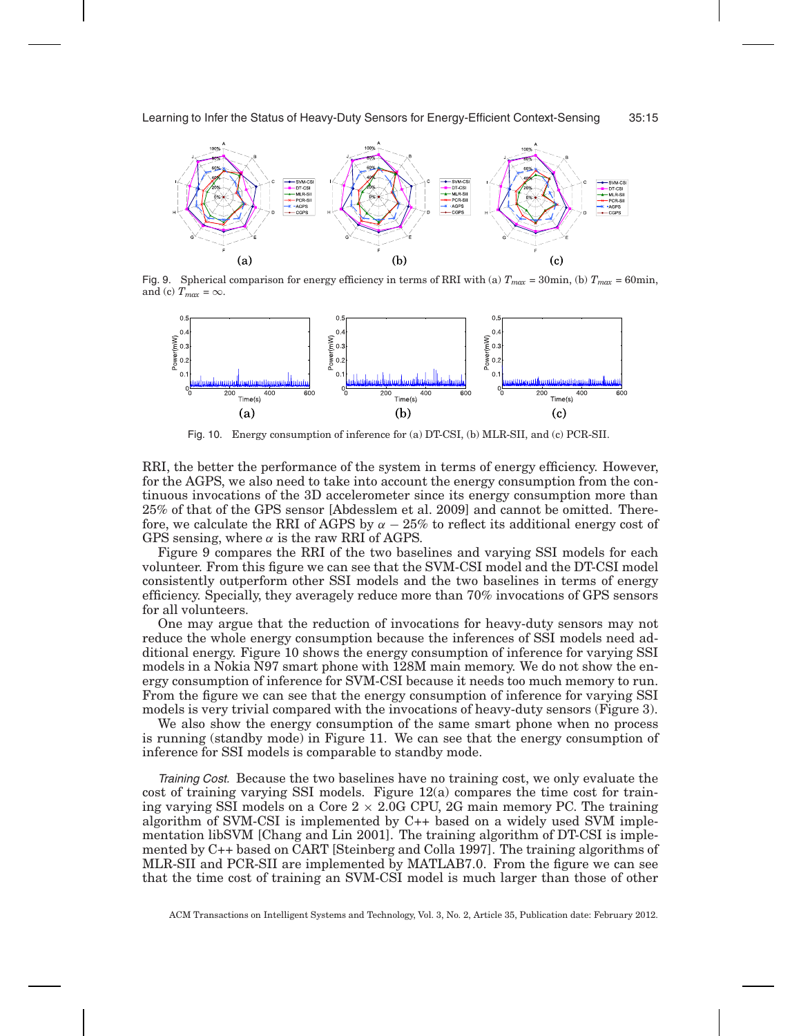

Fig. 9. Spherical comparison for energy efficiency in terms of RRI with (a)  $T_{max} = 30$ min, (b)  $T_{max} = 60$ min, and (c)  $T_{max} = \infty$ .



Fig. 10. Energy consumption of inference for (a) DT-CSI, (b) MLR-SII, and (c) PCR-SII.

RRI, the better the performance of the system in terms of energy efficiency. However, for the AGPS, we also need to take into account the energy consumption from the continuous invocations of the 3D accelerometer since its energy consumption more than 25% of that of the GPS sensor [Abdesslem et al. 2009] and cannot be omitted. Therefore, we calculate the RRI of AGPS by  $\alpha - 25\%$  to reflect its additional energy cost of GPS sensing, where  $\alpha$  is the raw RRI of AGPS.

Figure 9 compares the RRI of the two baselines and varying SSI models for each volunteer. From this figure we can see that the SVM-CSI model and the DT-CSI model consistently outperform other SSI models and the two baselines in terms of energy efficiency. Specially, they averagely reduce more than 70% invocations of GPS sensors for all volunteers.

One may argue that the reduction of invocations for heavy-duty sensors may not reduce the whole energy consumption because the inferences of SSI models need additional energy. Figure 10 shows the energy consumption of inference for varying SSI models in a Nokia N97 smart phone with 128M main memory. We do not show the energy consumption of inference for SVM-CSI because it needs too much memory to run. From the figure we can see that the energy consumption of inference for varying SSI models is very trivial compared with the invocations of heavy-duty sensors (Figure 3).

We also show the energy consumption of the same smart phone when no process is running (standby mode) in Figure 11. We can see that the energy consumption of inference for SSI models is comparable to standby mode.

Training Cost. Because the two baselines have no training cost, we only evaluate the cost of training varying SSI models. Figure 12(a) compares the time cost for training varying SSI models on a Core  $2 \times 2.0$ G CPU, 2G main memory PC. The training algorithm of SVM-CSI is implemented by C++ based on a widely used SVM implementation libSVM [Chang and Lin 2001]. The training algorithm of DT-CSI is implemented by C++ based on CART [Steinberg and Colla 1997]. The training algorithms of MLR-SII and PCR-SII are implemented by MATLAB7.0. From the figure we can see that the time cost of training an SVM-CSI model is much larger than those of other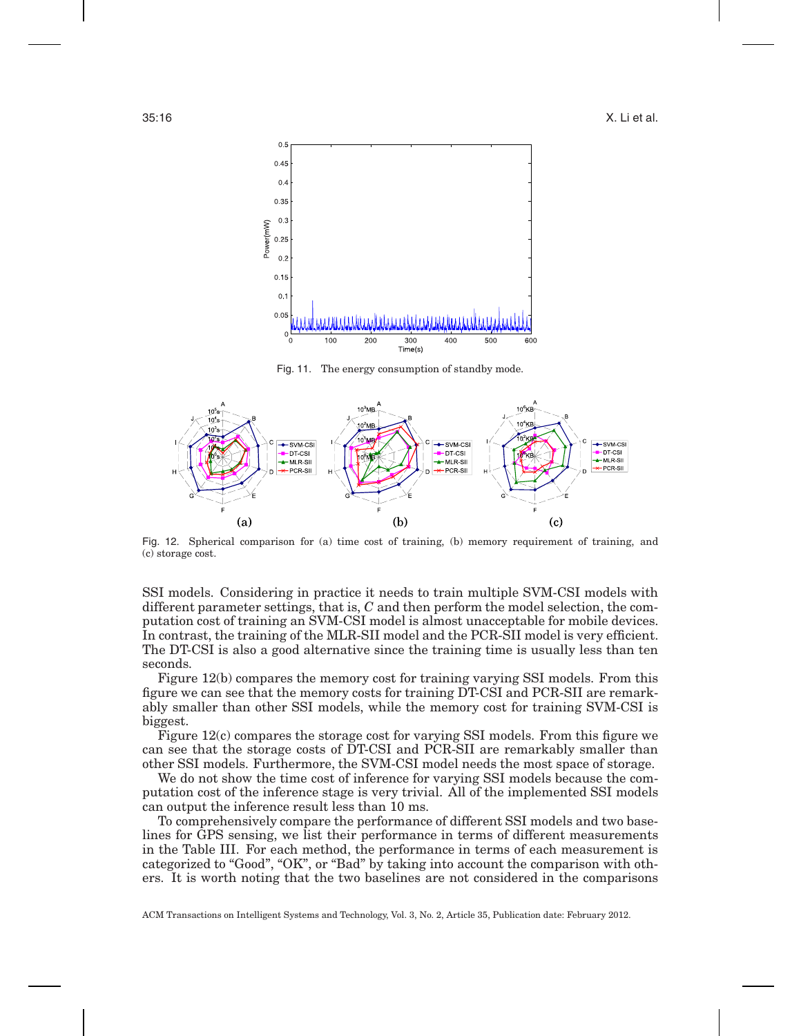

Fig. 11. The energy consumption of standby mode.



Fig. 12. Spherical comparison for (a) time cost of training, (b) memory requirement of training, and (c) storage cost.

SSI models. Considering in practice it needs to train multiple SVM-CSI models with different parameter settings, that is, *C* and then perform the model selection, the computation cost of training an SVM-CSI model is almost unacceptable for mobile devices. In contrast, the training of the MLR-SII model and the PCR-SII model is very efficient. The DT-CSI is also a good alternative since the training time is usually less than ten seconds.

Figure 12(b) compares the memory cost for training varying SSI models. From this figure we can see that the memory costs for training DT-CSI and PCR-SII are remarkably smaller than other SSI models, while the memory cost for training SVM-CSI is biggest.

Figure 12(c) compares the storage cost for varying SSI models. From this figure we can see that the storage costs of DT-CSI and PCR-SII are remarkably smaller than other SSI models. Furthermore, the SVM-CSI model needs the most space of storage.

We do not show the time cost of inference for varying SSI models because the computation cost of the inference stage is very trivial. All of the implemented SSI models can output the inference result less than 10 ms.

To comprehensively compare the performance of different SSI models and two baselines for GPS sensing, we list their performance in terms of different measurements in the Table III. For each method, the performance in terms of each measurement is categorized to "Good", "OK", or "Bad" by taking into account the comparison with others. It is worth noting that the two baselines are not considered in the comparisons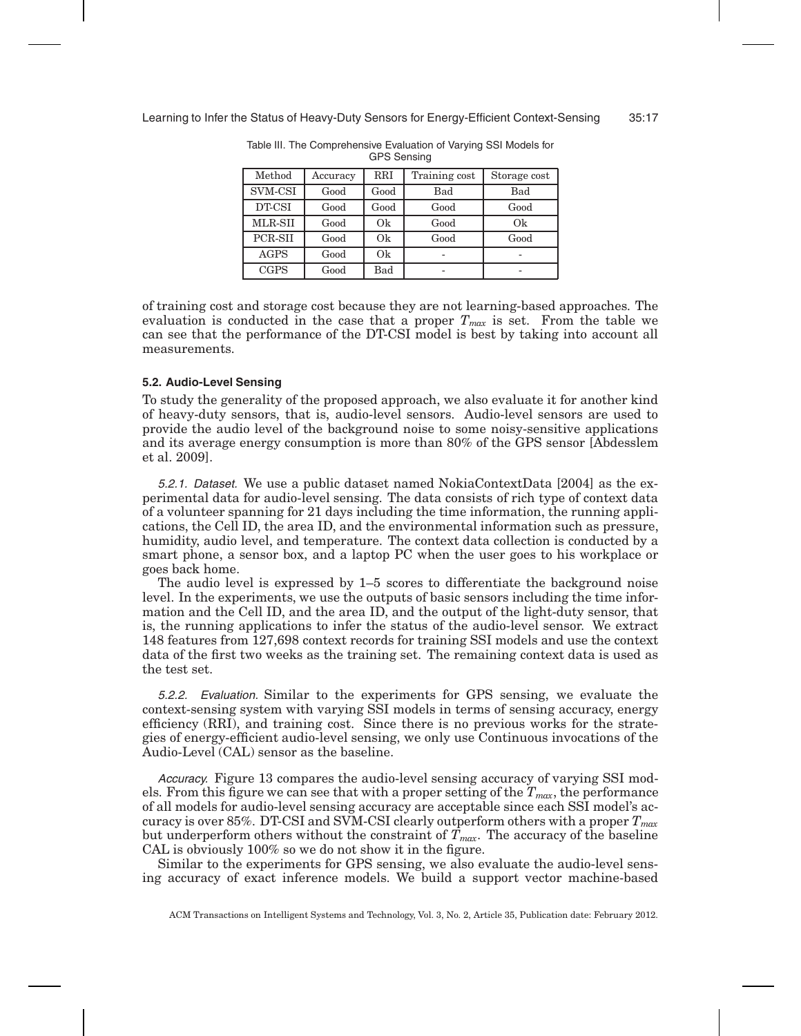| Method      | Accuracy | <b>RRI</b> | Training cost | Storage cost |
|-------------|----------|------------|---------------|--------------|
| SVM-CSI     | Good     | Good       | Bad           | Bad          |
| DT-CSI      | Good     | Good       | Good          | Good         |
| MLR-SII     | Good     | Ok         | Good          | Ok           |
| PCR-SII     | Good     | Ok         | Good          | Good         |
| <b>AGPS</b> | Good     | Ok         |               |              |
| <b>CGPS</b> | Good     | Bad        |               | -            |

Table III. The Comprehensive Evaluation of Varying SSI Models for GPS Sensing

of training cost and storage cost because they are not learning-based approaches. The evaluation is conducted in the case that a proper  $T_{max}$  is set. From the table we can see that the performance of the DT-CSI model is best by taking into account all measurements.

#### **5.2. Audio-Level Sensing**

To study the generality of the proposed approach, we also evaluate it for another kind of heavy-duty sensors, that is, audio-level sensors. Audio-level sensors are used to provide the audio level of the background noise to some noisy-sensitive applications and its average energy consumption is more than 80% of the GPS sensor [Abdesslem et al. 2009].

5.2.1. Dataset. We use a public dataset named NokiaContextData [2004] as the experimental data for audio-level sensing. The data consists of rich type of context data of a volunteer spanning for 21 days including the time information, the running applications, the Cell ID, the area ID, and the environmental information such as pressure, humidity, audio level, and temperature. The context data collection is conducted by a smart phone, a sensor box, and a laptop PC when the user goes to his workplace or goes back home.

The audio level is expressed by 1–5 scores to differentiate the background noise level. In the experiments, we use the outputs of basic sensors including the time information and the Cell ID, and the area ID, and the output of the light-duty sensor, that is, the running applications to infer the status of the audio-level sensor. We extract 148 features from 127,698 context records for training SSI models and use the context data of the first two weeks as the training set. The remaining context data is used as the test set.

5.2.2. Evaluation. Similar to the experiments for GPS sensing, we evaluate the context-sensing system with varying SSI models in terms of sensing accuracy, energy efficiency (RRI), and training cost. Since there is no previous works for the strategies of energy-efficient audio-level sensing, we only use Continuous invocations of the Audio-Level (CAL) sensor as the baseline.

Accuracy. Figure 13 compares the audio-level sensing accuracy of varying SSI models. From this figure we can see that with a proper setting of the  $T_{max}$ , the performance of all models for audio-level sensing accuracy are acceptable since each SSI model's accuracy is over 85%. DT-CSI and SVM-CSI clearly outperform others with a proper *Tmax* but underperform others without the constraint of  $T_{max}$ . The accuracy of the baseline CAL is obviously 100% so we do not show it in the figure.

Similar to the experiments for GPS sensing, we also evaluate the audio-level sensing accuracy of exact inference models. We build a support vector machine-based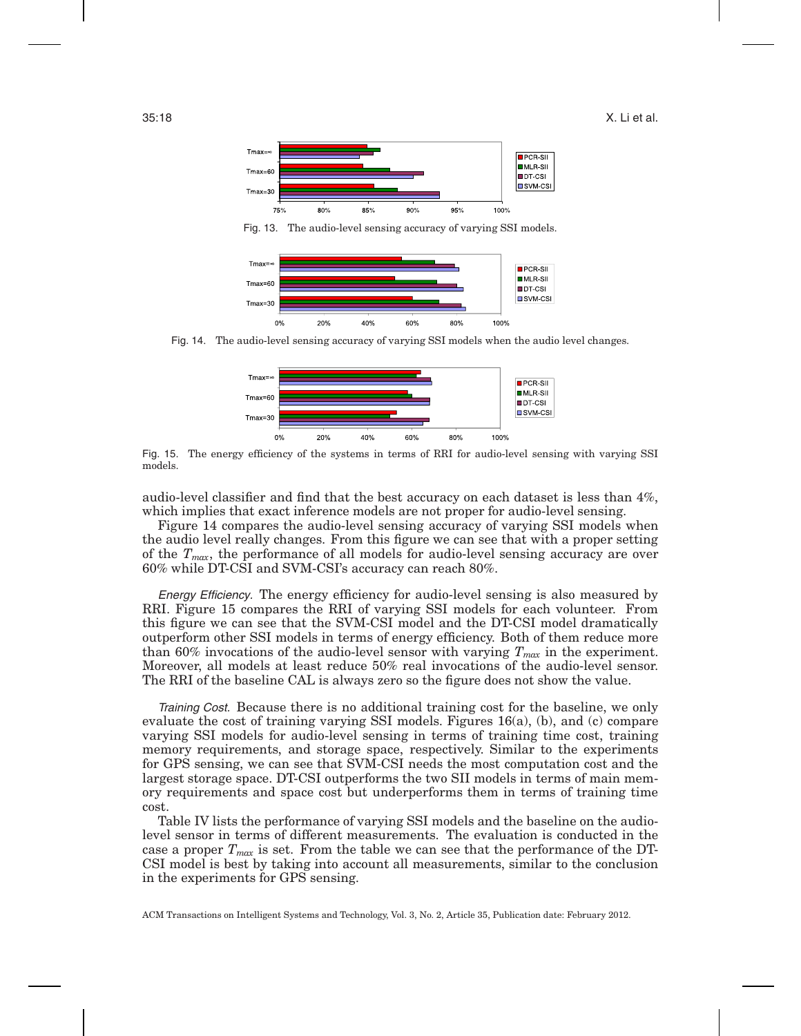

Fig. 13. The audio-level sensing accuracy of varying SSI models.



Fig. 14. The audio-level sensing accuracy of varying SSI models when the audio level changes.



Fig. 15. The energy efficiency of the systems in terms of RRI for audio-level sensing with varying SSI models.

audio-level classifier and find that the best accuracy on each dataset is less than 4%, which implies that exact inference models are not proper for audio-level sensing.

Figure 14 compares the audio-level sensing accuracy of varying SSI models when the audio level really changes. From this figure we can see that with a proper setting of the *Tmax*, the performance of all models for audio-level sensing accuracy are over 60% while DT-CSI and SVM-CSI's accuracy can reach 80%.

Energy Efficiency. The energy efficiency for audio-level sensing is also measured by RRI. Figure 15 compares the RRI of varying SSI models for each volunteer. From this figure we can see that the SVM-CSI model and the DT-CSI model dramatically outperform other SSI models in terms of energy efficiency. Both of them reduce more than 60% invocations of the audio-level sensor with varying  $T_{max}$  in the experiment. Moreover, all models at least reduce 50% real invocations of the audio-level sensor. The RRI of the baseline CAL is always zero so the figure does not show the value.

Training Cost. Because there is no additional training cost for the baseline, we only evaluate the cost of training varying SSI models. Figures 16(a), (b), and (c) compare varying SSI models for audio-level sensing in terms of training time cost, training memory requirements, and storage space, respectively. Similar to the experiments for GPS sensing, we can see that SVM-CSI needs the most computation cost and the largest storage space. DT-CSI outperforms the two SII models in terms of main memory requirements and space cost but underperforms them in terms of training time cost.

Table IV lists the performance of varying SSI models and the baseline on the audiolevel sensor in terms of different measurements. The evaluation is conducted in the case a proper *Tmax* is set. From the table we can see that the performance of the DT-CSI model is best by taking into account all measurements, similar to the conclusion in the experiments for GPS sensing.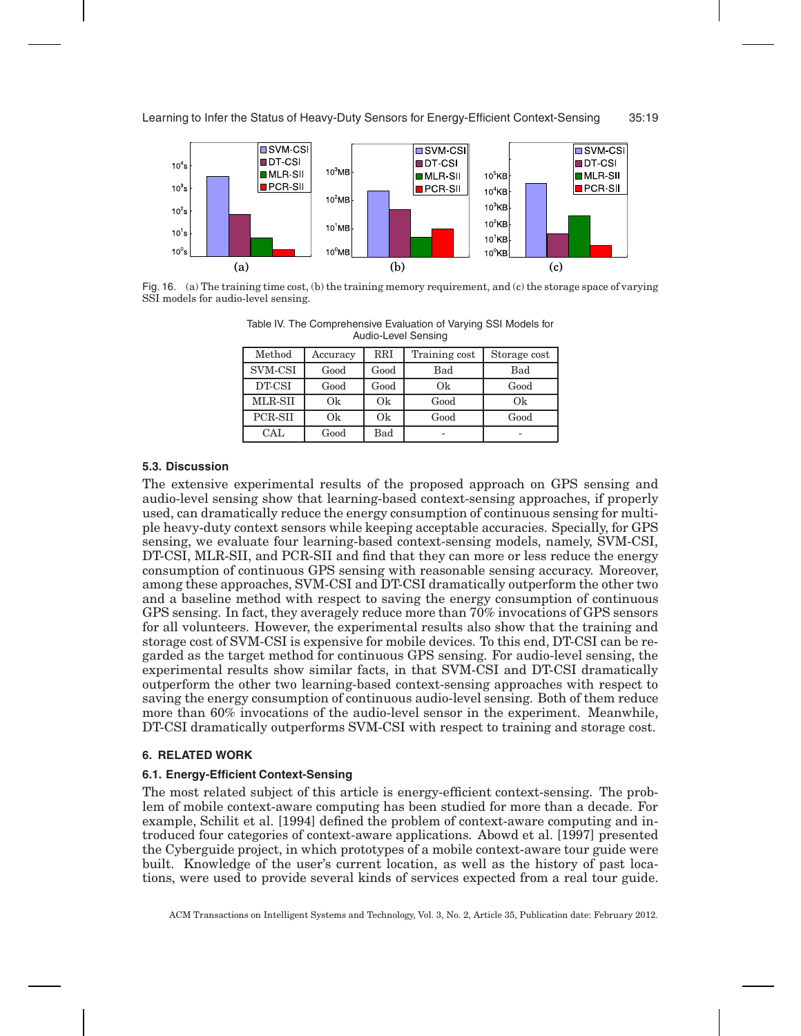

Fig. 16. (a) The training time cost, (b) the training memory requirement, and (c) the storage space of varying SSI models for audio-level sensing.

| <b>AUVILLEVEL OF ISITY</b> |          |              |               |              |  |
|----------------------------|----------|--------------|---------------|--------------|--|
| Method                     | Accuracy | $_{\rm RRI}$ | Training cost | Storage cost |  |
| SVM-CSI                    | Good     | Good         | Bad           | Bad          |  |
| DT-CSI                     | Good     | Good         | Ok            | Good         |  |
| MLR-SII                    | Ok       | Ok           | Good          | Ok           |  |
| PCR-SII                    | Ok       | Ok           | Good          | Good         |  |

CAL Good Bad - - -

Table IV. The Comprehensive Evaluation of Varying SSI Models for Audio Lovel Con

# **5.3. Discussion**

The extensive experimental results of the proposed approach on GPS sensing and audio-level sensing show that learning-based context-sensing approaches, if properly used, can dramatically reduce the energy consumption of continuous sensing for multiple heavy-duty context sensors while keeping acceptable accuracies. Specially, for GPS sensing, we evaluate four learning-based context-sensing models, namely, SVM-CSI, DT-CSI, MLR-SII, and PCR-SII and find that they can more or less reduce the energy consumption of continuous GPS sensing with reasonable sensing accuracy. Moreover, among these approaches, SVM-CSI and DT-CSI dramatically outperform the other two and a baseline method with respect to saving the energy consumption of continuous GPS sensing. In fact, they averagely reduce more than 70% invocations of GPS sensors for all volunteers. However, the experimental results also show that the training and storage cost of SVM-CSI is expensive for mobile devices. To this end, DT-CSI can be regarded as the target method for continuous GPS sensing. For audio-level sensing, the experimental results show similar facts, in that SVM-CSI and DT-CSI dramatically outperform the other two learning-based context-sensing approaches with respect to saving the energy consumption of continuous audio-level sensing. Both of them reduce more than 60% invocations of the audio-level sensor in the experiment. Meanwhile, DT-CSI dramatically outperforms SVM-CSI with respect to training and storage cost.

# **6. RELATED WORK**

# **6.1. Energy-Efficient Context-Sensing**

The most related subject of this article is energy-efficient context-sensing. The problem of mobile context-aware computing has been studied for more than a decade. For example, Schilit et al. [1994] defined the problem of context-aware computing and introduced four categories of context-aware applications. Abowd et al. [1997] presented the Cyberguide project, in which prototypes of a mobile context-aware tour guide were built. Knowledge of the user's current location, as well as the history of past locations, were used to provide several kinds of services expected from a real tour guide.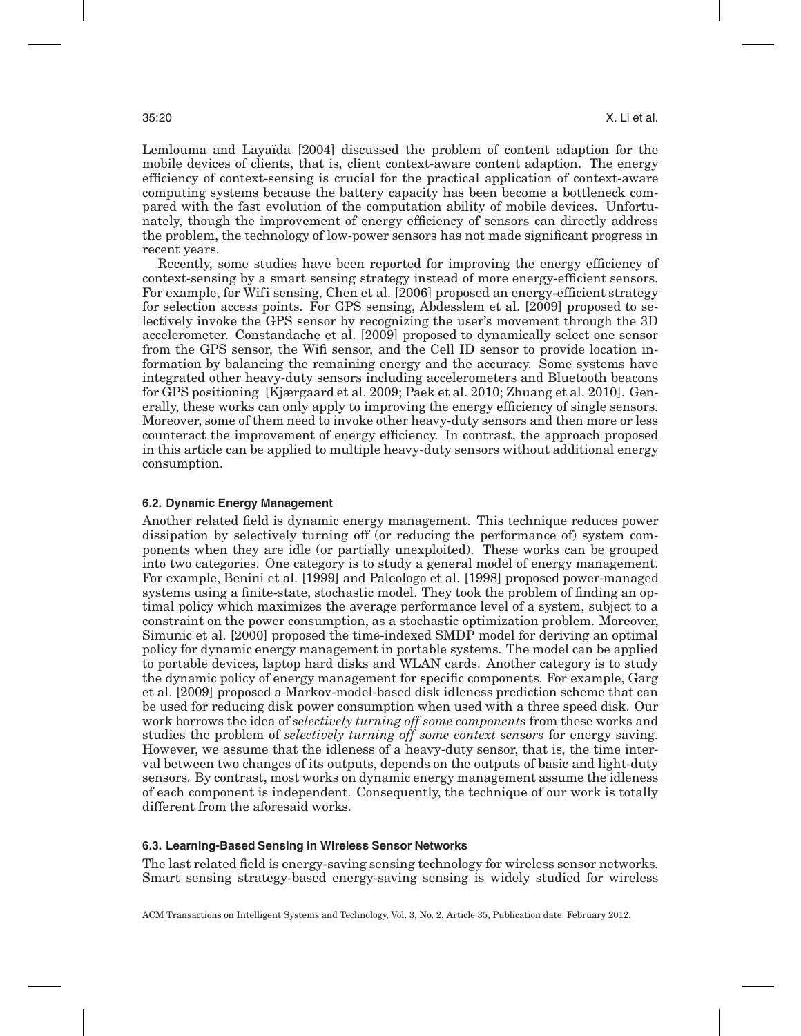Lemlouma and Layaïda [2004] discussed the problem of content adaption for the mobile devices of clients, that is, client context-aware content adaption. The energy efficiency of context-sensing is crucial for the practical application of context-aware computing systems because the battery capacity has been become a bottleneck compared with the fast evolution of the computation ability of mobile devices. Unfortunately, though the improvement of energy efficiency of sensors can directly address the problem, the technology of low-power sensors has not made significant progress in recent years.

Recently, some studies have been reported for improving the energy efficiency of context-sensing by a smart sensing strategy instead of more energy-efficient sensors. For example, for Wifi sensing, Chen et al. [2006] proposed an energy-efficient strategy for selection access points. For GPS sensing, Abdesslem et al. [2009] proposed to selectively invoke the GPS sensor by recognizing the user's movement through the 3D accelerometer. Constandache et al. [2009] proposed to dynamically select one sensor from the GPS sensor, the Wifi sensor, and the Cell ID sensor to provide location information by balancing the remaining energy and the accuracy. Some systems have integrated other heavy-duty sensors including accelerometers and Bluetooth beacons for GPS positioning [Kjærgaard et al. 2009; Paek et al. 2010; Zhuang et al. 2010]. Generally, these works can only apply to improving the energy efficiency of single sensors. Moreover, some of them need to invoke other heavy-duty sensors and then more or less counteract the improvement of energy efficiency. In contrast, the approach proposed in this article can be applied to multiple heavy-duty sensors without additional energy consumption.

# **6.2. Dynamic Energy Management**

Another related field is dynamic energy management. This technique reduces power dissipation by selectively turning off (or reducing the performance of) system components when they are idle (or partially unexploited). These works can be grouped into two categories. One category is to study a general model of energy management. For example, Benini et al. [1999] and Paleologo et al. [1998] proposed power-managed systems using a finite-state, stochastic model. They took the problem of finding an optimal policy which maximizes the average performance level of a system, subject to a constraint on the power consumption, as a stochastic optimization problem. Moreover, Simunic et al. [2000] proposed the time-indexed SMDP model for deriving an optimal policy for dynamic energy management in portable systems. The model can be applied to portable devices, laptop hard disks and WLAN cards. Another category is to study the dynamic policy of energy management for specific components. For example, Garg et al. [2009] proposed a Markov-model-based disk idleness prediction scheme that can be used for reducing disk power consumption when used with a three speed disk. Our work borrows the idea of *selectively turning off some components* from these works and studies the problem of *selectively turning off some context sensors* for energy saving. However, we assume that the idleness of a heavy-duty sensor, that is, the time interval between two changes of its outputs, depends on the outputs of basic and light-duty sensors. By contrast, most works on dynamic energy management assume the idleness of each component is independent. Consequently, the technique of our work is totally different from the aforesaid works.

#### **6.3. Learning-Based Sensing in Wireless Sensor Networks**

The last related field is energy-saving sensing technology for wireless sensor networks. Smart sensing strategy-based energy-saving sensing is widely studied for wireless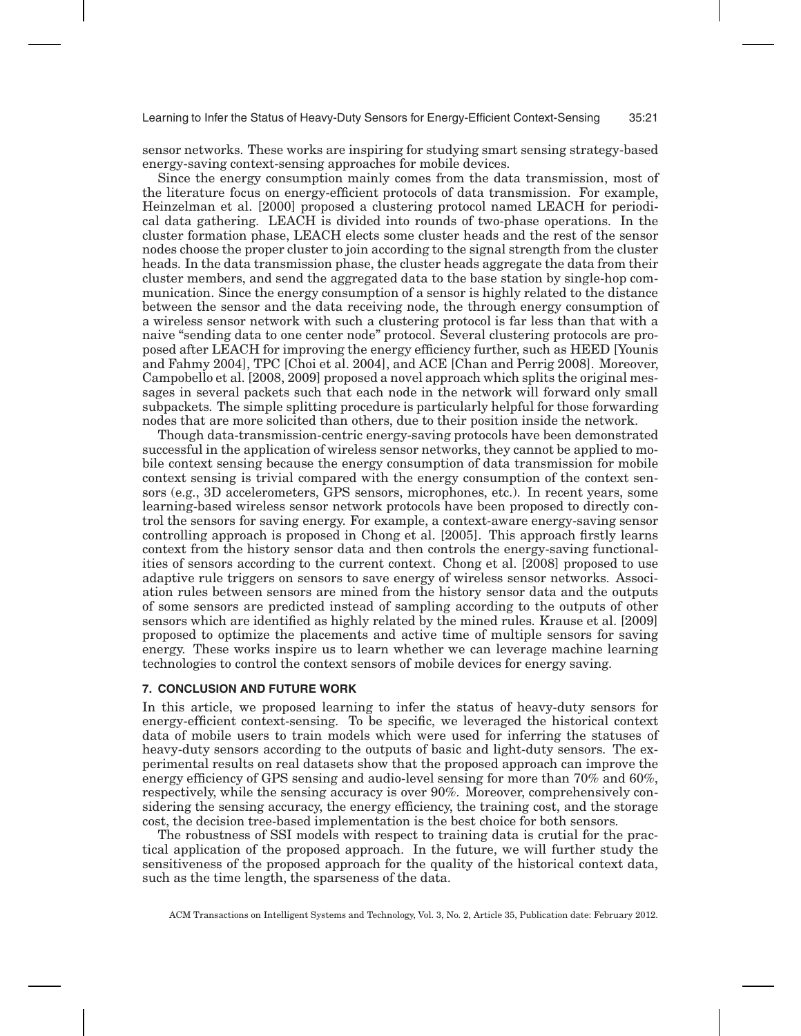sensor networks. These works are inspiring for studying smart sensing strategy-based energy-saving context-sensing approaches for mobile devices.

Since the energy consumption mainly comes from the data transmission, most of the literature focus on energy-efficient protocols of data transmission. For example, Heinzelman et al. [2000] proposed a clustering protocol named LEACH for periodical data gathering. LEACH is divided into rounds of two-phase operations. In the cluster formation phase, LEACH elects some cluster heads and the rest of the sensor nodes choose the proper cluster to join according to the signal strength from the cluster heads. In the data transmission phase, the cluster heads aggregate the data from their cluster members, and send the aggregated data to the base station by single-hop communication. Since the energy consumption of a sensor is highly related to the distance between the sensor and the data receiving node, the through energy consumption of a wireless sensor network with such a clustering protocol is far less than that with a naive "sending data to one center node" protocol. Several clustering protocols are proposed after LEACH for improving the energy efficiency further, such as HEED [Younis and Fahmy 2004], TPC [Choi et al. 2004], and ACE [Chan and Perrig 2008]. Moreover, Campobello et al. [2008, 2009] proposed a novel approach which splits the original messages in several packets such that each node in the network will forward only small subpackets. The simple splitting procedure is particularly helpful for those forwarding nodes that are more solicited than others, due to their position inside the network.

Though data-transmission-centric energy-saving protocols have been demonstrated successful in the application of wireless sensor networks, they cannot be applied to mobile context sensing because the energy consumption of data transmission for mobile context sensing is trivial compared with the energy consumption of the context sensors (e.g., 3D accelerometers, GPS sensors, microphones, etc.). In recent years, some learning-based wireless sensor network protocols have been proposed to directly control the sensors for saving energy. For example, a context-aware energy-saving sensor controlling approach is proposed in Chong et al. [2005]. This approach firstly learns context from the history sensor data and then controls the energy-saving functionalities of sensors according to the current context. Chong et al. [2008] proposed to use adaptive rule triggers on sensors to save energy of wireless sensor networks. Association rules between sensors are mined from the history sensor data and the outputs of some sensors are predicted instead of sampling according to the outputs of other sensors which are identified as highly related by the mined rules. Krause et al. [2009] proposed to optimize the placements and active time of multiple sensors for saving energy. These works inspire us to learn whether we can leverage machine learning technologies to control the context sensors of mobile devices for energy saving.

#### **7. CONCLUSION AND FUTURE WORK**

In this article, we proposed learning to infer the status of heavy-duty sensors for energy-efficient context-sensing. To be specific, we leveraged the historical context data of mobile users to train models which were used for inferring the statuses of heavy-duty sensors according to the outputs of basic and light-duty sensors. The experimental results on real datasets show that the proposed approach can improve the energy efficiency of GPS sensing and audio-level sensing for more than 70% and 60%, respectively, while the sensing accuracy is over 90%. Moreover, comprehensively considering the sensing accuracy, the energy efficiency, the training cost, and the storage cost, the decision tree-based implementation is the best choice for both sensors.

The robustness of SSI models with respect to training data is crutial for the practical application of the proposed approach. In the future, we will further study the sensitiveness of the proposed approach for the quality of the historical context data, such as the time length, the sparseness of the data.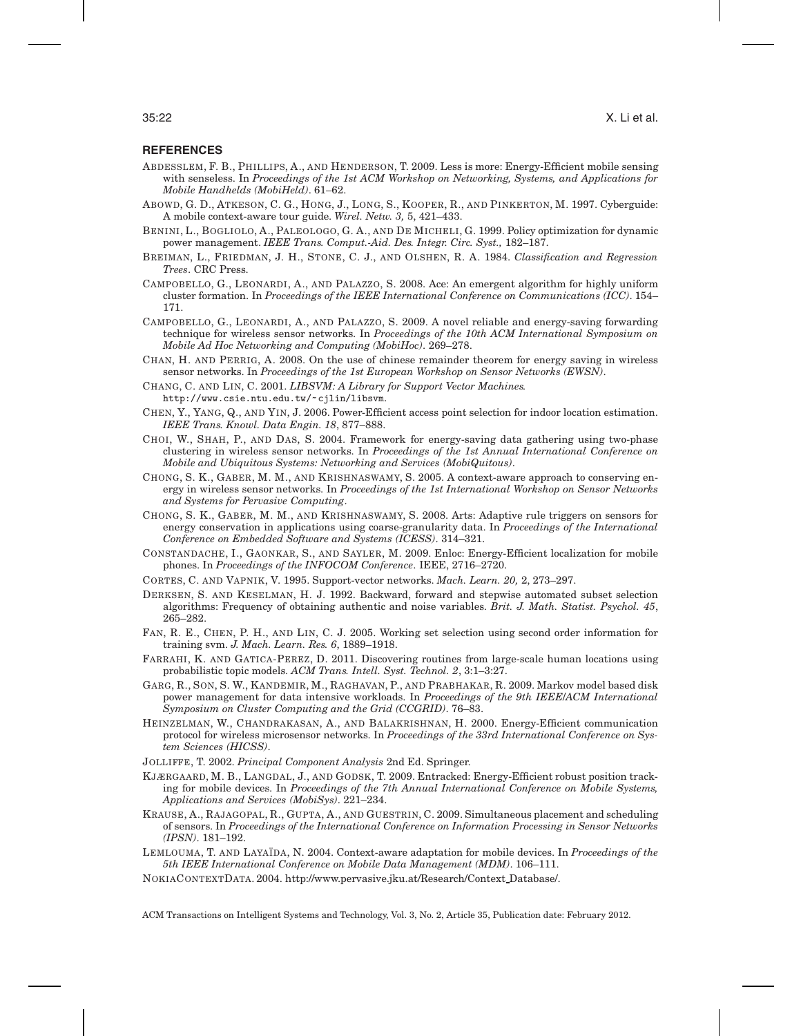#### **REFERENCES**

- ABDESSLEM, F. B., PHILLIPS, A., AND HENDERSON, T. 2009. Less is more: Energy-Efficient mobile sensing with senseless. In *Proceedings of the 1st ACM Workshop on Networking, Systems, and Applications for Mobile Handhelds (MobiHeld)*. 61–62.
- ABOWD, G. D., ATKESON, C. G., HONG, J., LONG, S., KOOPER, R., AND PINKERTON, M. 1997. Cyberguide: A mobile context-aware tour guide. *Wirel. Netw. 3,* 5, 421–433.
- BENINI, L., BOGLIOLO, A., PALEOLOGO, G. A., AND DE MICHELI, G. 1999. Policy optimization for dynamic power management. *IEEE Trans. Comput.-Aid. Des. Integr. Circ. Syst.,* 182–187.
- BREIMAN, L., FRIEDMAN, J. H., STONE, C. J., AND OLSHEN, R. A. 1984. *Classification and Regression Trees*. CRC Press.
- CAMPOBELLO, G., LEONARDI, A., AND PALAZZO, S. 2008. Ace: An emergent algorithm for highly uniform cluster formation. In *Proceedings of the IEEE International Conference on Communications (ICC)*. 154– 171.
- CAMPOBELLO, G., LEONARDI, A., AND PALAZZO, S. 2009. A novel reliable and energy-saving forwarding technique for wireless sensor networks. In *Proceedings of the 10th ACM International Symposium on Mobile Ad Hoc Networking and Computing (MobiHoc)*. 269–278.
- CHAN, H. AND PERRIG, A. 2008. On the use of chinese remainder theorem for energy saving in wireless sensor networks. In *Proceedings of the 1st European Workshop on Sensor Networks (EWSN)*.
- CHANG, C. AND LIN, C. 2001. *LIBSVM: A Library for Support Vector Machines.* http://www.csie.ntu.edu.tw/~cjlin/libsvm.
- CHEN, Y., YANG, Q., AND YIN, J. 2006. Power-Efficient access point selection for indoor location estimation. *IEEE Trans. Knowl. Data Engin. 18*, 877–888.
- CHOI, W., SHAH, P., AND DAS, S. 2004. Framework for energy-saving data gathering using two-phase clustering in wireless sensor networks. In *Proceedings of the 1st Annual International Conference on Mobile and Ubiquitous Systems: Networking and Services (MobiQuitous)*.
- CHONG, S. K., GABER, M. M., AND KRISHNASWAMY, S. 2005. A context-aware approach to conserving energy in wireless sensor networks. In *Proceedings of the 1st International Workshop on Sensor Networks and Systems for Pervasive Computing*.
- CHONG, S. K., GABER, M. M., AND KRISHNASWAMY, S. 2008. Arts: Adaptive rule triggers on sensors for energy conservation in applications using coarse-granularity data. In *Proceedings of the International Conference on Embedded Software and Systems (ICESS)*. 314–321.
- CONSTANDACHE, I., GAONKAR, S., AND SAYLER, M. 2009. Enloc: Energy-Efficient localization for mobile phones. In *Proceedings of the INFOCOM Conference*. IEEE, 2716–2720.
- CORTES, C. AND VAPNIK, V. 1995. Support-vector networks. *Mach. Learn. 20,* 2, 273–297.
- DERKSEN, S. AND KESELMAN, H. J. 1992. Backward, forward and stepwise automated subset selection algorithms: Frequency of obtaining authentic and noise variables. *Brit. J. Math. Statist. Psychol. 45*, 265–282.
- FAN, R. E., CHEN, P. H., AND LIN, C. J. 2005. Working set selection using second order information for training svm. *J. Mach. Learn. Res. 6*, 1889–1918.
- FARRAHI, K. AND GATICA-PEREZ, D. 2011. Discovering routines from large-scale human locations using probabilistic topic models. *ACM Trans. Intell. Syst. Technol. 2*, 3:1–3:27.
- GARG, R., SON, S. W., KANDEMIR, M., RAGHAVAN, P., AND PRABHAKAR, R. 2009. Markov model based disk power management for data intensive workloads. In *Proceedings of the 9th IEEE/ACM International Symposium on Cluster Computing and the Grid (CCGRID)*. 76–83.
- HEINZELMAN, W., CHANDRAKASAN, A., AND BALAKRISHNAN, H. 2000. Energy-Efficient communication protocol for wireless microsensor networks. In *Proceedings of the 33rd International Conference on System Sciences (HICSS)*.
- JOLLIFFE, T. 2002. *Principal Component Analysis* 2nd Ed. Springer.
- KJÆRGAARD, M. B., LANGDAL, J., AND GODSK, T. 2009. Entracked: Energy-Efficient robust position tracking for mobile devices. In *Proceedings of the 7th Annual International Conference on Mobile Systems, Applications and Services (MobiSys)*. 221–234.
- KRAUSE, A., RAJAGOPAL, R., GUPTA, A., AND GUESTRIN, C. 2009. Simultaneous placement and scheduling of sensors. In *Proceedings of the International Conference on Information Processing in Sensor Networks (IPSN)*. 181–192.
- LEMLOUMA, T. AND LAYAÏDA, N. 2004. Context-aware adaptation for mobile devices. In *Proceedings of the 5th IEEE International Conference on Mobile Data Management (MDM)*. 106–111.
- NOKIACONTEXTDATA. 2004. http://www.pervasive.jku.at/Research/Context Database/.